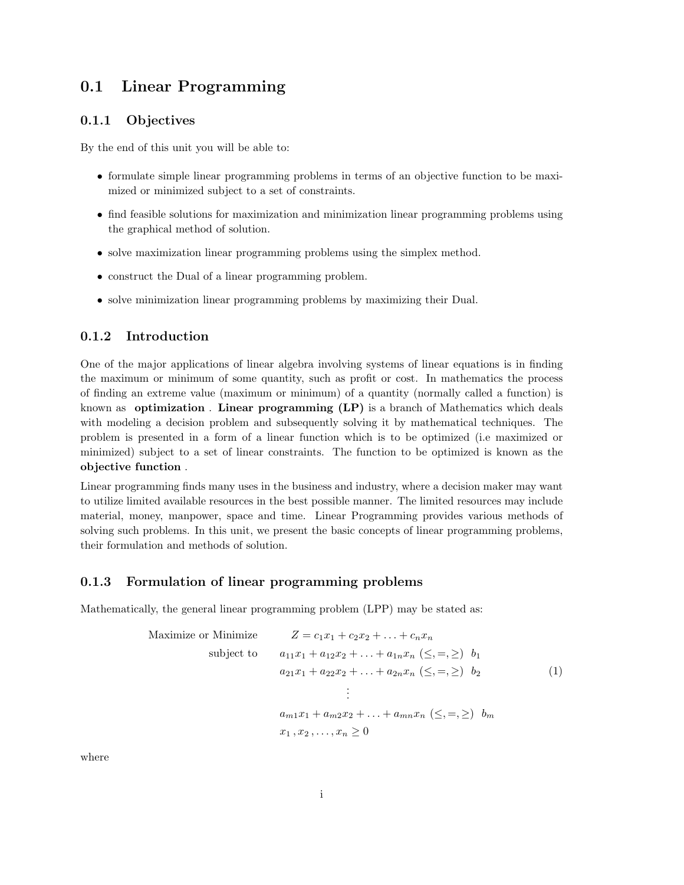# 0.1 Linear Programming

# 0.1.1 Objectives

By the end of this unit you will be able to:

- formulate simple linear programming problems in terms of an objective function to be maximized or minimized subject to a set of constraints.
- find feasible solutions for maximization and minimization linear programming problems using the graphical method of solution.
- solve maximization linear programming problems using the simplex method.
- construct the Dual of a linear programming problem.
- solve minimization linear programming problems by maximizing their Dual.

# 0.1.2 Introduction

One of the major applications of linear algebra involving systems of linear equations is in finding the maximum or minimum of some quantity, such as profit or cost. In mathematics the process of finding an extreme value (maximum or minimum) of a quantity (normally called a function) is known as **optimization**. Linear programming (LP) is a branch of Mathematics which deals with modeling a decision problem and subsequently solving it by mathematical techniques. The problem is presented in a form of a linear function which is to be optimized (i.e maximized or minimized) subject to a set of linear constraints. The function to be optimized is known as the objective function .

Linear programming finds many uses in the business and industry, where a decision maker may want to utilize limited available resources in the best possible manner. The limited resources may include material, money, manpower, space and time. Linear Programming provides various methods of solving such problems. In this unit, we present the basic concepts of linear programming problems, their formulation and methods of solution.

# 0.1.3 Formulation of linear programming problems

Mathematically, the general linear programming problem (LPP) may be stated as:

| Maximize or Minimize | $Z = c_1 x_1 + c_2 x_2 + \ldots + c_n x_n$                                |     |
|----------------------|---------------------------------------------------------------------------|-----|
| subject to           | $a_{11}x_1 + a_{12}x_2 + \ldots + a_{1n}x_n \; (\leq, =, \geq) \; b_1$    |     |
|                      | $a_{21}x_1 + a_{22}x_2 + \ldots + a_{2n}x_n \ (\leq, =, \geq) \ b_2$      | (1) |
|                      |                                                                           |     |
|                      | $a_{m1}x_1 + a_{m2}x_2 + \ldots + a_{mn}x_n \leqslant, =, \geqslant) b_m$ |     |
|                      | $x_1, x_2, \ldots, x_n \geq 0$                                            |     |

where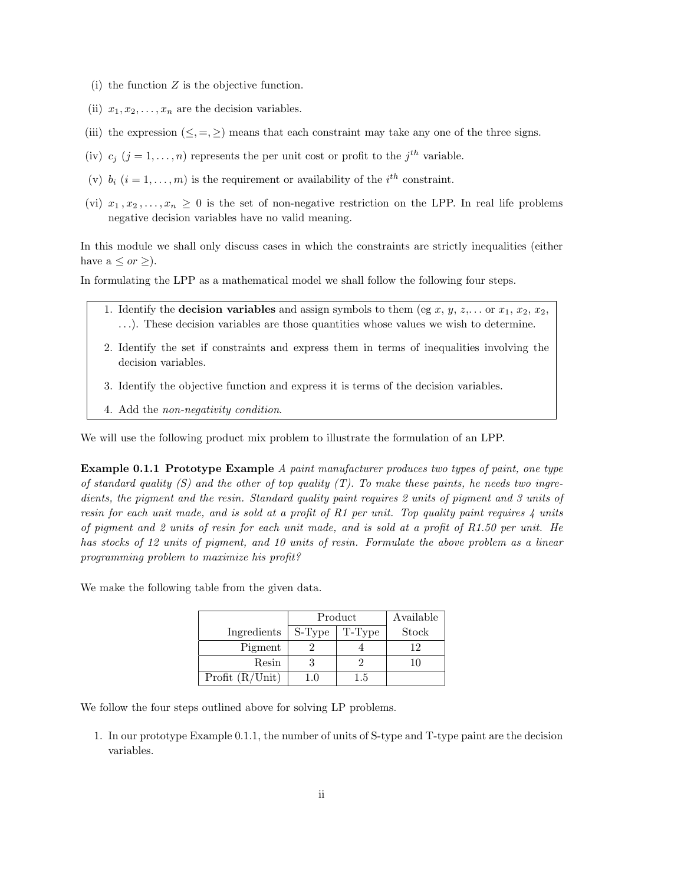- (i) the function  $Z$  is the objective function.
- (ii)  $x_1, x_2, \ldots, x_n$  are the decision variables.
- (iii) the expression  $(\leq, =, \geq)$  means that each constraint may take any one of the three signs.
- (iv)  $c_j$  ( $j = 1, ..., n$ ) represents the per unit cost or profit to the  $j^{th}$  variable.
- (v)  $b_i$   $(i = 1, ..., m)$  is the requirement or availability of the  $i^{th}$  constraint.
- (vi)  $x_1, x_2, \ldots, x_n \geq 0$  is the set of non-negative restriction on the LPP. In real life problems negative decision variables have no valid meaning.

In this module we shall only discuss cases in which the constraints are strictly inequalities (either have  $a \leq or \geq$ ).

In formulating the LPP as a mathematical model we shall follow the following four steps.

- 1. Identify the **decision variables** and assign symbols to them (eg x, y, z,... or  $x_1, x_2, x_2$ , . . .). These decision variables are those quantities whose values we wish to determine.
- 2. Identify the set if constraints and express them in terms of inequalities involving the decision variables.
- 3. Identify the objective function and express it is terms of the decision variables.
- 4. Add the non-negativity condition.

We will use the following product mix problem to illustrate the formulation of an LPP.

Example 0.1.1 Prototype Example A paint manufacturer produces two types of paint, one type of standard quality  $(S)$  and the other of top quality  $(T)$ . To make these paints, he needs two ingredients, the pigment and the resin. Standard quality paint requires 2 units of pigment and 3 units of resin for each unit made, and is sold at a profit of R1 per unit. Top quality paint requires  $\lambda$  units of pigment and 2 units of resin for each unit made, and is sold at a profit of  $R1.50$  per unit. He has stocks of 12 units of pigment, and 10 units of resin. Formulate the above problem as a linear programming problem to maximize his profit?

We make the following table from the given data.

|                    | Product | Available |       |
|--------------------|---------|-----------|-------|
| Ingredients        | S-Type  | T-Type    | Stock |
| Pigment            |         |           | 12    |
| Resin              |         |           | 10    |
| Profit $(R/U$ nit) | 1.0     | 1.5       |       |

We follow the four steps outlined above for solving LP problems.

1. In our prototype Example 0.1.1, the number of units of S-type and T-type paint are the decision variables.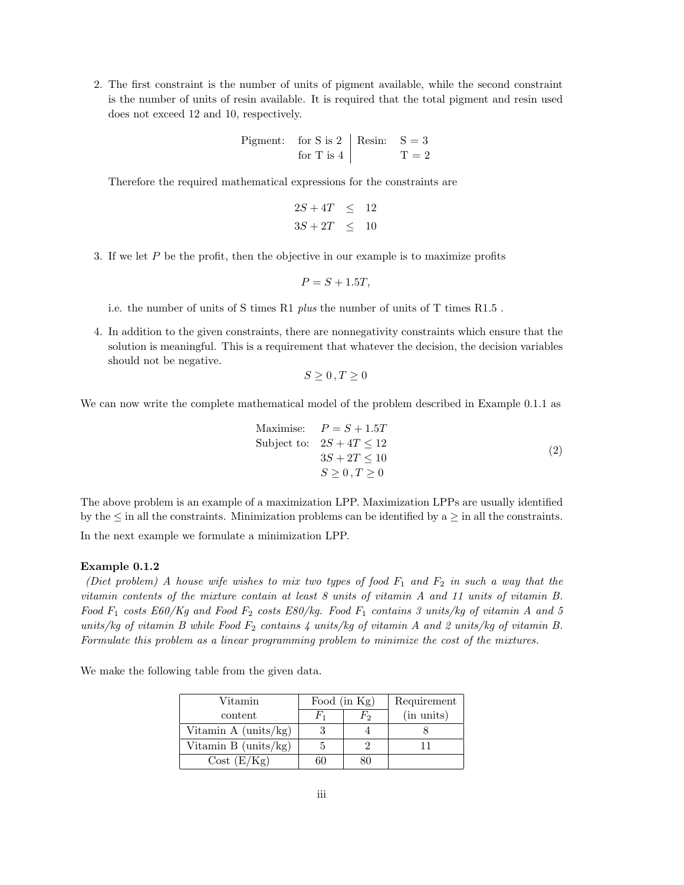2. The first constraint is the number of units of pigment available, while the second constraint is the number of units of resin available. It is required that the total pigment and resin used does not exceed 12 and 10, respectively.

Pigment: for S is 2 Resin: S = 3 for T is 4 T = 2

Therefore the required mathematical expressions for the constraints are

$$
2S + 4T \le 12
$$
  

$$
3S + 2T \le 10
$$

3. If we let P be the profit, then the objective in our example is to maximize profits

$$
P = S + 1.5T,
$$

i.e. the number of units of S times R1 plus the number of units of T times R1.5 .

4. In addition to the given constraints, there are nonnegativity constraints which ensure that the solution is meaningful. This is a requirement that whatever the decision, the decision variables should not be negative.

$$
S\geq 0\,,T\geq 0
$$

We can now write the complete mathematical model of the problem described in Example 0.1.1 as

Maximise: 
$$
P = S + 1.5T
$$
  
\nSubject to: 
$$
2S + 4T \le 12
$$

$$
3S + 2T \le 10
$$

$$
S \ge 0, T \ge 0
$$
\n(2)

The above problem is an example of a maximization LPP. Maximization LPPs are usually identified by the  $\leq$  in all the constraints. Minimization problems can be identified by a  $\geq$  in all the constraints. In the next example we formulate a minimization LPP.

#### Example 0.1.2

(Diet problem) A house wife wishes to mix two types of food  $F_1$  and  $F_2$  in such a way that the vitamin contents of the mixture contain at least 8 units of vitamin A and 11 units of vitamin B. Food  $F_1$  costs  $E60/Kg$  and Food  $F_2$  costs  $E80/kg$ . Food  $F_1$  contains 3 units/kg of vitamin A and 5 units/kg of vitamin B while Food  $F_2$  contains 4 units/kg of vitamin A and 2 units/kg of vitamin B. Formulate this problem as a linear programming problem to minimize the cost of the mixtures.

We make the following table from the given data.

| Vitamin                       | Food (in Kg) |    | Requirement |
|-------------------------------|--------------|----|-------------|
| content                       |              | Fэ | (in units)  |
| Vitamin A $(\text{units/kg})$ |              |    |             |
| Vitamin B $(units/kg)$        |              |    |             |
| Cost(E/Kg)                    | hU           |    |             |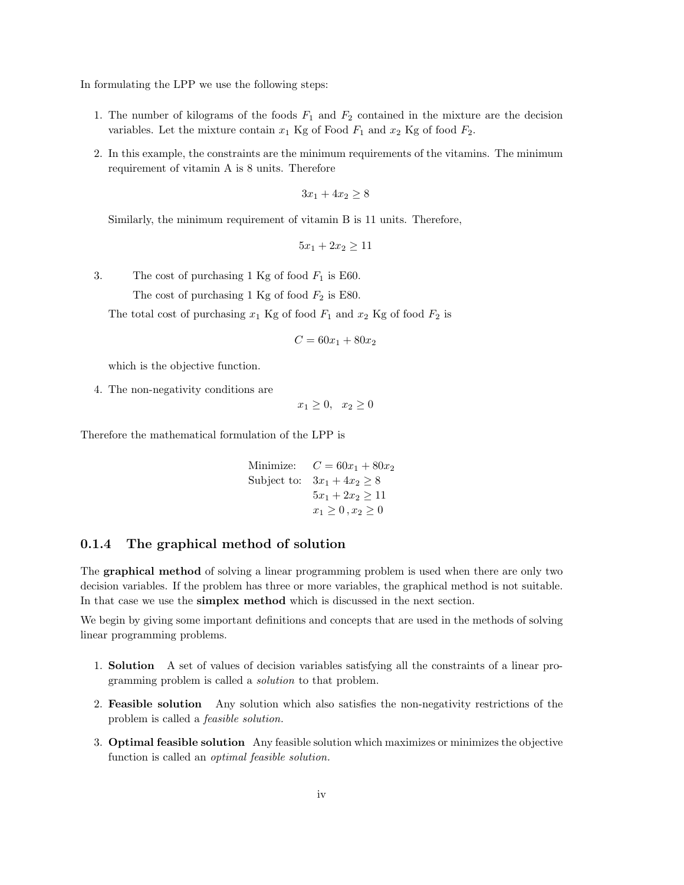In formulating the LPP we use the following steps:

- 1. The number of kilograms of the foods  $F_1$  and  $F_2$  contained in the mixture are the decision variables. Let the mixture contain  $x_1$  Kg of Food  $F_1$  and  $x_2$  Kg of food  $F_2$ .
- 2. In this example, the constraints are the minimum requirements of the vitamins. The minimum requirement of vitamin A is 8 units. Therefore

$$
3x_1 + 4x_2 \ge 8
$$

Similarly, the minimum requirement of vitamin B is 11 units. Therefore,

$$
5x_1 + 2x_2 \ge 11
$$

3. The cost of purchasing 1 Kg of food  $F_1$  is E60.

The cost of purchasing 1 Kg of food  $F_2$  is E80.

The total cost of purchasing  $x_1$  Kg of food  $F_1$  and  $x_2$  Kg of food  $F_2$  is

$$
C = 60x_1 + 80x_2
$$

which is the objective function.

4. The non-negativity conditions are

 $x_1 \geq 0, \quad x_2 \geq 0$ 

Therefore the mathematical formulation of the LPP is

Minimize:  $C = 60x_1 + 80x_2$ Subject to:  $3x_1 + 4x_2 \geq 8$  $5x_1 + 2x_2 \ge 11$  $x_1 \ge 0, x_2 \ge 0$ 

## 0.1.4 The graphical method of solution

The graphical method of solving a linear programming problem is used when there are only two decision variables. If the problem has three or more variables, the graphical method is not suitable. In that case we use the simplex method which is discussed in the next section.

We begin by giving some important definitions and concepts that are used in the methods of solving linear programming problems.

- 1. Solution A set of values of decision variables satisfying all the constraints of a linear programming problem is called a solution to that problem.
- 2. Feasible solution Any solution which also satisfies the non-negativity restrictions of the problem is called a feasible solution.
- 3. Optimal feasible solution Any feasible solution which maximizes or minimizes the objective function is called an optimal feasible solution.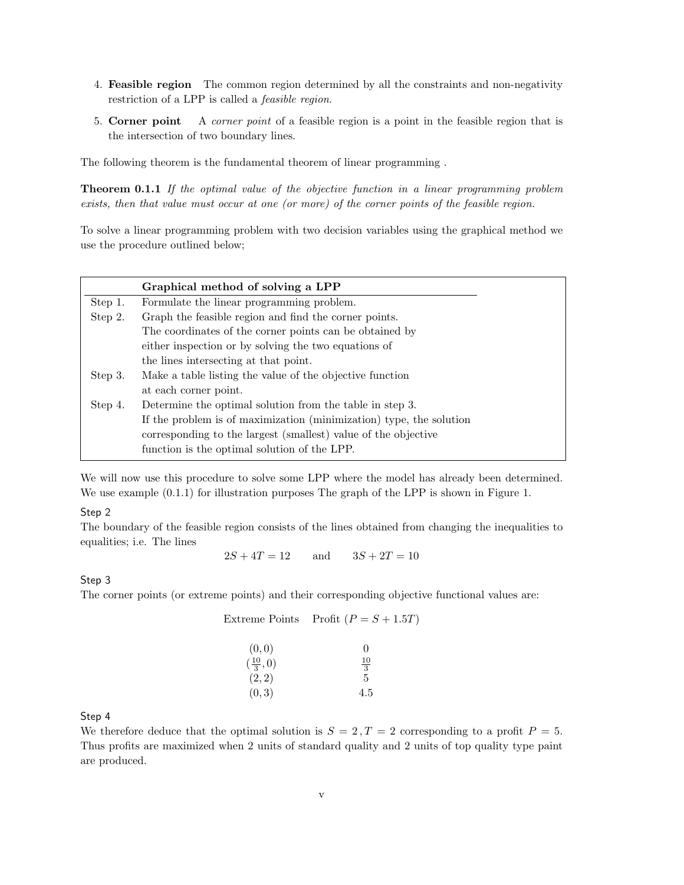- 4. Feasible region The common region determined by all the constraints and non-negativity restriction of a LPP is called a feasible region.
- 5. Corner point A corner point of a feasible region is a point in the feasible region that is the intersection of two boundary lines.

The following theorem is the fundamental theorem of linear programming .

**Theorem 0.1.1** If the optimal value of the objective function in a linear programming problem exists, then that value must occur at one (or more) of the corner points of the feasible region.

To solve a linear programming problem with two decision variables using the graphical method we use the procedure outlined below;

|         | Graphical method of solving a LPP                                   |
|---------|---------------------------------------------------------------------|
| Step 1. | Formulate the linear programming problem.                           |
| Step 2. | Graph the feasible region and find the corner points.               |
|         | The coordinates of the corner points can be obtained by             |
|         | either inspection or by solving the two equations of                |
|         | the lines intersecting at that point.                               |
| Step 3. | Make a table listing the value of the objective function            |
|         | at each corner point.                                               |
| Step 4. | Determine the optimal solution from the table in step 3.            |
|         | If the problem is of maximization (minimization) type, the solution |
|         | corresponding to the largest (smallest) value of the objective      |
|         | function is the optimal solution of the LPP.                        |

We will now use this procedure to solve some LPP where the model has already been determined. We use example  $(0.1.1)$  for illustration purposes The graph of the LPP is shown in Figure 1.

## Step 2

The boundary of the feasible region consists of the lines obtained from changing the inequalities to equalities; i.e. The lines

 $2S + 4T = 12$  and  $3S + 2T = 10$ 

## Step 3

The corner points (or extreme points) and their corresponding objective functional values are:

|                    | Extreme Points Profit $(P = S + 1.5T)$ |
|--------------------|----------------------------------------|
| (0,0)              | 0                                      |
| $(\frac{10}{3},0)$ | $\frac{10}{3}$                         |
| (2, 2)             | 5                                      |
| (0, 3)             | 4.5                                    |

#### Step 4

We therefore deduce that the optimal solution is  $S = 2, T = 2$  corresponding to a profit  $P = 5$ . Thus profits are maximized when 2 units of standard quality and 2 units of top quality type paint are produced.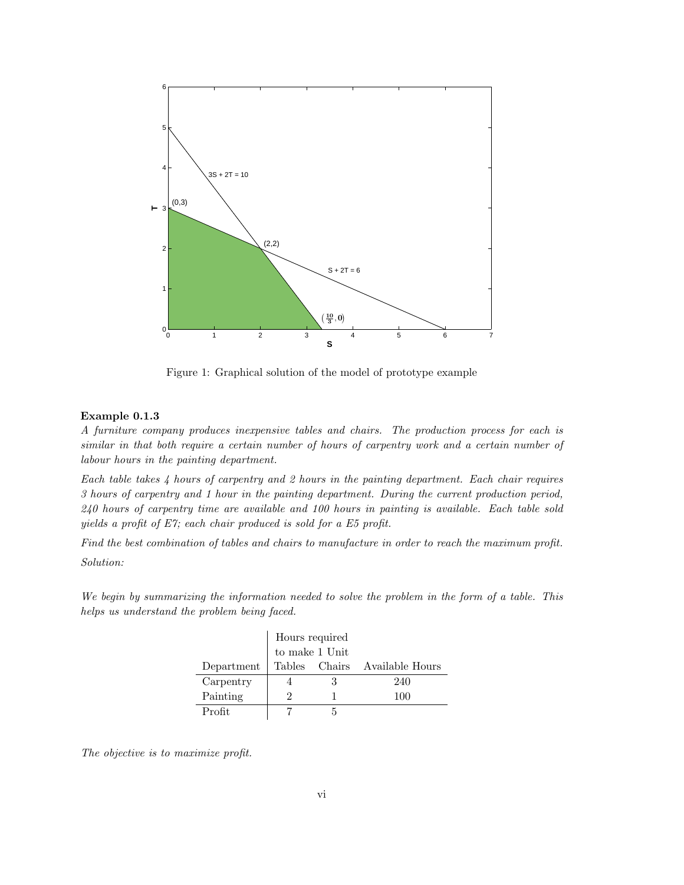

Figure 1: Graphical solution of the model of prototype example

#### Example 0.1.3

A furniture company produces inexpensive tables and chairs. The production process for each is similar in that both require a certain number of hours of carpentry work and a certain number of labour hours in the painting department.

Each table takes 4 hours of carpentry and 2 hours in the painting department. Each chair requires 3 hours of carpentry and 1 hour in the painting department. During the current production period, 240 hours of carpentry time are available and 100 hours in painting is available. Each table sold yields a profit of E7; each chair produced is sold for a E5 profit.

Find the best combination of tables and chairs to manufacture in order to reach the maximum profit. Solution:

We begin by summarizing the information needed to solve the problem in the form of a table. This helps us understand the problem being faced.

|            |   | Hours required        |                               |
|------------|---|-----------------------|-------------------------------|
|            |   | to make $1$ Unit $\,$ |                               |
| Department |   |                       | Tables Chairs Available Hours |
| Carpentry  |   |                       | 240                           |
| Painting   | 2 |                       | 100                           |
| Profit     |   |                       |                               |

The objective is to maximize profit.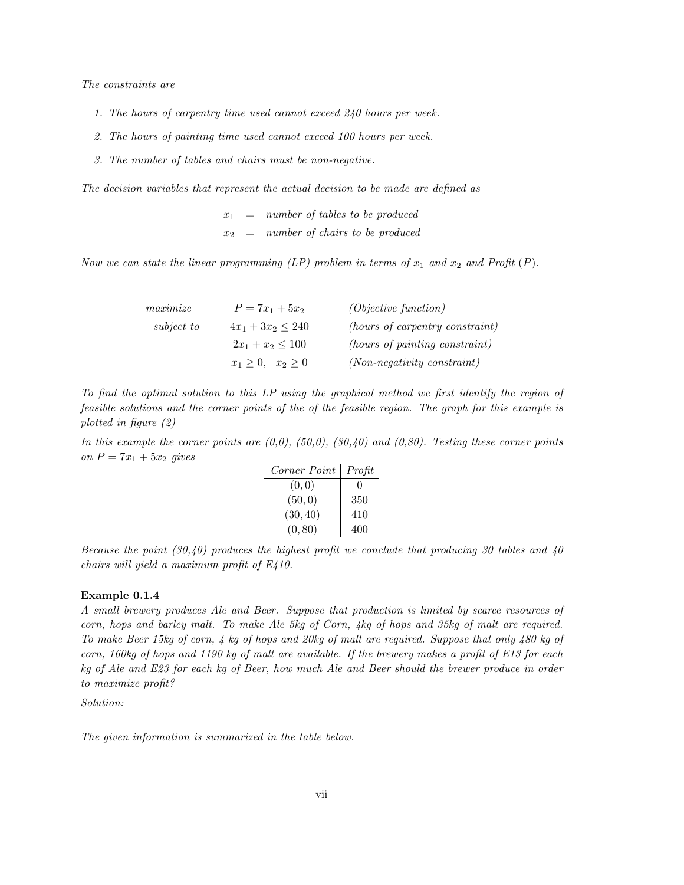The constraints are

- 1. The hours of carpentry time used cannot exceed 240 hours per week.
- 2. The hours of painting time used cannot exceed 100 hours per week.
- 3. The number of tables and chairs must be non-negative.

The decision variables that represent the actual decision to be made are defined as

 $x_1$  = number of tables to be produced  $x_2 = number of chairs to be produced$ 

Now we can state the linear programming (LP) problem in terms of  $x_1$  and  $x_2$  and Profit (P).

| maximize   | $P = 7x_1 + 5x_2$      | (Objective function)            |
|------------|------------------------|---------------------------------|
| subject to | $4x_1 + 3x_2 \leq 240$ | (hours of carpentry constraint) |
|            | $2x_1 + x_2 \le 100$   | (hours of painting constraint)  |
|            | $x_1 > 0$ , $x_2 > 0$  | $(Non-negativity constant)$     |

To find the optimal solution to this LP using the graphical method we first identify the region of feasible solutions and the corner points of the of the feasible region. The graph for this example is plotted in figure (2)

In this example the corner points are  $(0,0)$ ,  $(50,0)$ ,  $(30,40)$  and  $(0,80)$ . Testing these corner points on  $P = 7x_1 + 5x_2$  gives

| Corner Point | Profit       |
|--------------|--------------|
| (0, 0)       | $\mathbf{0}$ |
| (50, 0)      | 350          |
| (30, 40)     | 410          |
| (0, 80)      | 400          |

Because the point  $(30,40)$  produces the highest profit we conclude that producing 30 tables and 40 chairs will yield a maximum profit of E410.

### Example 0.1.4

A small brewery produces Ale and Beer. Suppose that production is limited by scarce resources of corn, hops and barley malt. To make Ale 5kg of Corn, 4kg of hops and 35kg of malt are required. To make Beer 15kg of corn, 4 kg of hops and 20kg of malt are required. Suppose that only 480 kg of corn, 160kg of hops and 1190 kg of malt are available. If the brewery makes a profit of  $E13$  for each kg of Ale and E23 for each kg of Beer, how much Ale and Beer should the brewer produce in order to maximize profit?

Solution:

The given information is summarized in the table below.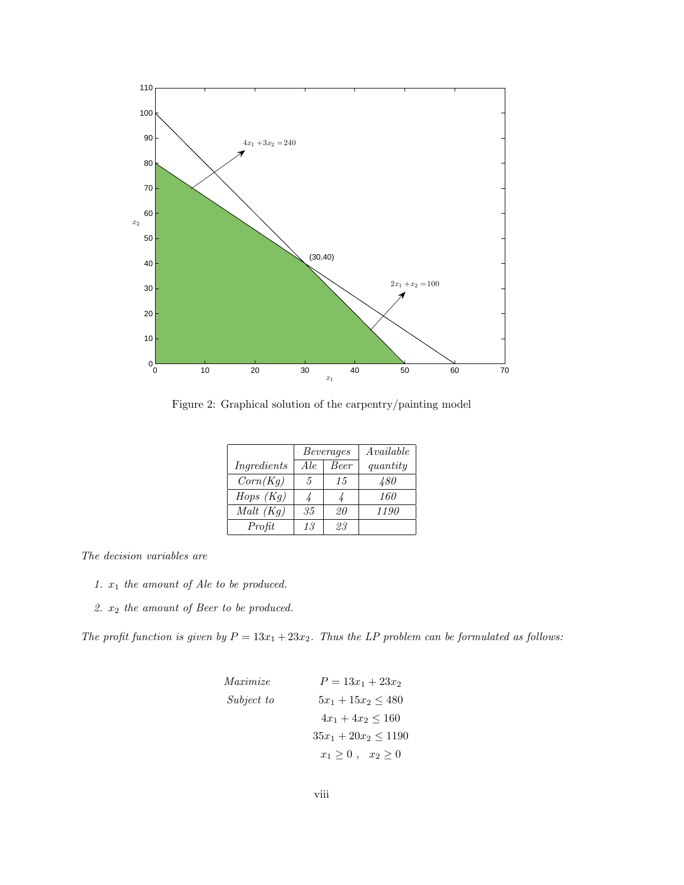

Figure 2: Graphical solution of the carpentry/painting model

|             |     | Beverages   | $A\mathit{valid}ble$ |
|-------------|-----|-------------|----------------------|
| Ingredients | Ale | <b>Beer</b> | quantity             |
| Corn(Kg)    | 5   | 15          | 480                  |
| Hops $(Kq)$ | 4   |             | 160                  |
| Malt $(Kg)$ | 35  | 20          | 1190                 |
| Profit      | 13  | 93          |                      |

The decision variables are

- 1.  $x_1$  the amount of Ale to be produced.
- 2. x<sup>2</sup> the amount of Beer to be produced.

The profit function is given by  $P = 13x_1 + 23x_2$ . Thus the LP problem can be formulated as follows:

Maximize

\n
$$
P = 13x_1 + 23x_2
$$
\nSubject to

\n
$$
5x_1 + 15x_2 \le 480
$$
\n
$$
4x_1 + 4x_2 \le 160
$$
\n
$$
35x_1 + 20x_2 \le 1190
$$
\n
$$
x_1 \ge 0, \quad x_2 \ge 0
$$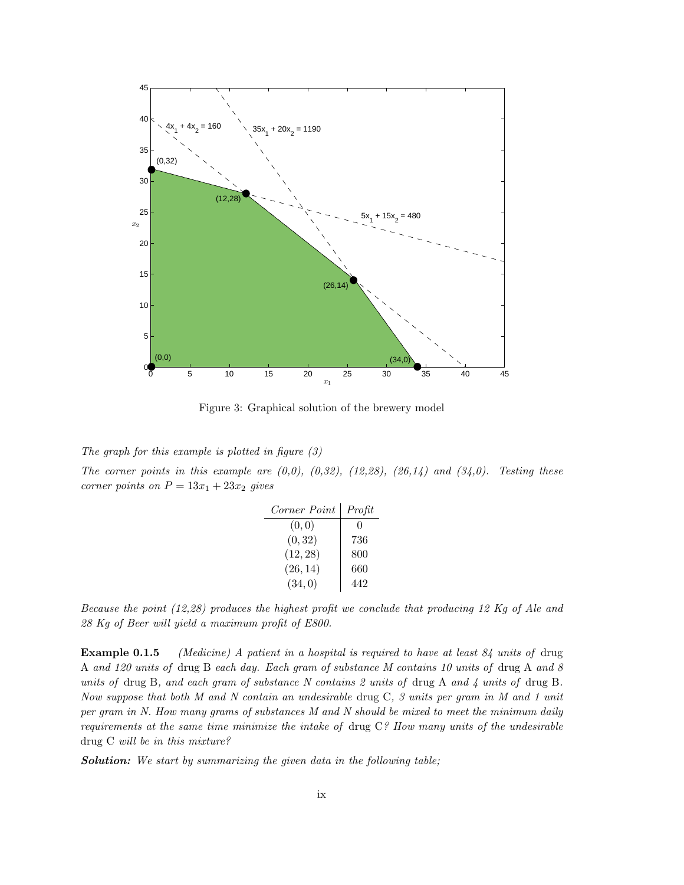

Figure 3: Graphical solution of the brewery model

The graph for this example is plotted in figure  $(3)$ 

The corner points in this example are  $(0,0)$ ,  $(0,32)$ ,  $(12,28)$ ,  $(26,14)$  and  $(34,0)$ . Testing these corner points on  $P = 13x_1 + 23x_2$  gives

| Corner Point | Profit            |
|--------------|-------------------|
| (0, 0)       | $\mathbf{\Omega}$ |
| (0, 32)      | 736               |
| (12, 28)     | 800               |
| (26, 14)     | 660               |
| (34, 0)      | 442               |

Because the point (12,28) produces the highest profit we conclude that producing 12 Kg of Ale and 28 Kg of Beer will yield a maximum profit of E800.

**Example 0.1.5** (Medicine) A patient in a hospital is required to have at least  $84$  units of drug A and 120 units of drug B each day. Each gram of substance M contains 10 units of drug A and 8 units of drug B, and each gram of substance N contains 2 units of drug A and 4 units of drug B. Now suppose that both M and N contain an undesirable drug C, 3 units per gram in M and 1 unit per gram in N. How many grams of substances M and N should be mixed to meet the minimum daily requirements at the same time minimize the intake of drug C? How many units of the undesirable drug C will be in this mixture?

Solution: We start by summarizing the given data in the following table;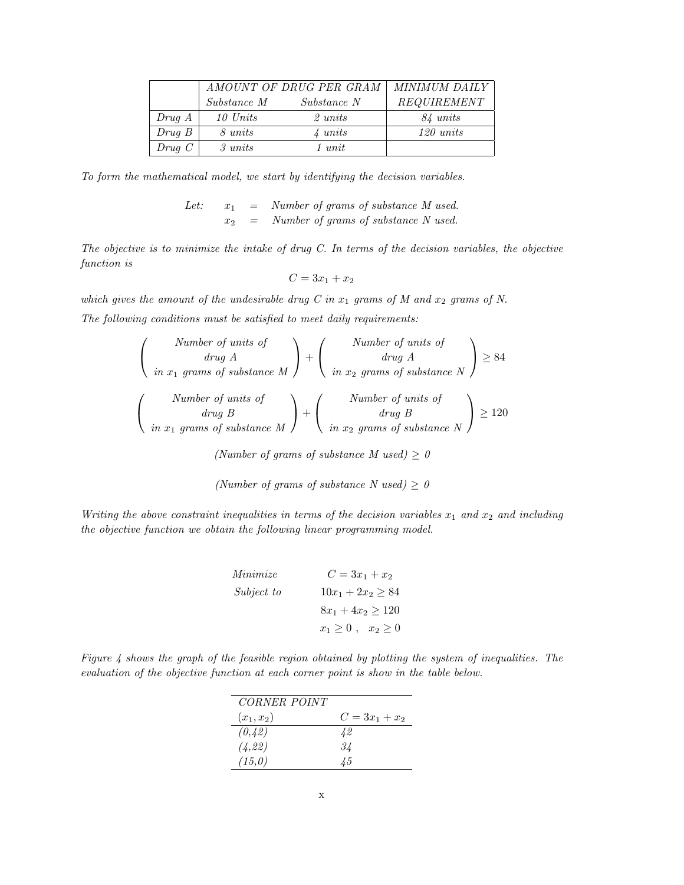|           |              | AMOUNT OF DRUG PER GRAM | MINIMUM DAILY |
|-----------|--------------|-------------------------|---------------|
|           | Substance M  | Substance N             | REQUIREMENT   |
| Drug A    | 10 Units     | $2 \; units$            | 84 units      |
| Drug B    | 8 units      | $\lambda$ units         | 120 units     |
| $Drug\ C$ | $3 \; units$ | $1 \; unit$             |               |

To form the mathematical model, we start by identifying the decision variables.

Let:  $x_1$  = Number of grams of substance M used.  $x_2$  = Number of grams of substance N used.

The objective is to minimize the intake of drug  $C$ . In terms of the decision variables, the objective function is

$$
C = 3x_1 + x_2
$$

which gives the amount of the undesirable drug C in  $x_1$  grams of M and  $x_2$  grams of N. The following conditions must be satisfied to meet daily requirements:

| Number of units of<br>$\begin{array}{c}\n \text{drug } A \\  \text{in } x_1 \text{ grams of substance } M\n \end{array} \bigg) +  $ |  | Number of units of<br>$\left(\begin{array}{c} drug\ A\ in\ x_2\ grams\ of\ substance\ N\ \end{array}\right)$ |  |
|-------------------------------------------------------------------------------------------------------------------------------------|--|--------------------------------------------------------------------------------------------------------------|--|
| Number of units of<br>$\begin{array}{c}\n\text{ drug } B \\ \text{in } x_1 \text{ grams of substance } M\n\end{array}$              |  | Number of units of<br>$\begin{pmatrix} drug \ B \ in \ x_2 \ grams \ of \ substance \ N \end{pmatrix}$       |  |

(Number of grams of substance M used)  $\geq 0$ 

(Number of grams of substance N used)  $\geq 0$ 

Writing the above constraint inequalities in terms of the decision variables  $x_1$  and  $x_2$  and including the objective function we obtain the following linear programming model.

| Minimize   | $C = 3x_1 + x_2$            |
|------------|-----------------------------|
| Subject to | $10x_1 + 2x_2 \geq 84$      |
|            | $8x_1 + 4x_2 \ge 120$       |
|            | $x_1 \geq 0$ , $x_2 \geq 0$ |

Figure 4 shows the graph of the feasible region obtained by plotting the system of inequalities. The evaluation of the objective function at each corner point is show in the table below.

| CORNER POINT |                  |
|--------------|------------------|
| $(x_1, x_2)$ | $C = 3x_1 + x_2$ |
| (0, 42)      | 42               |
| (4, 22)      | 34               |
| (15,0)       | $\frac{1}{2}$ .5 |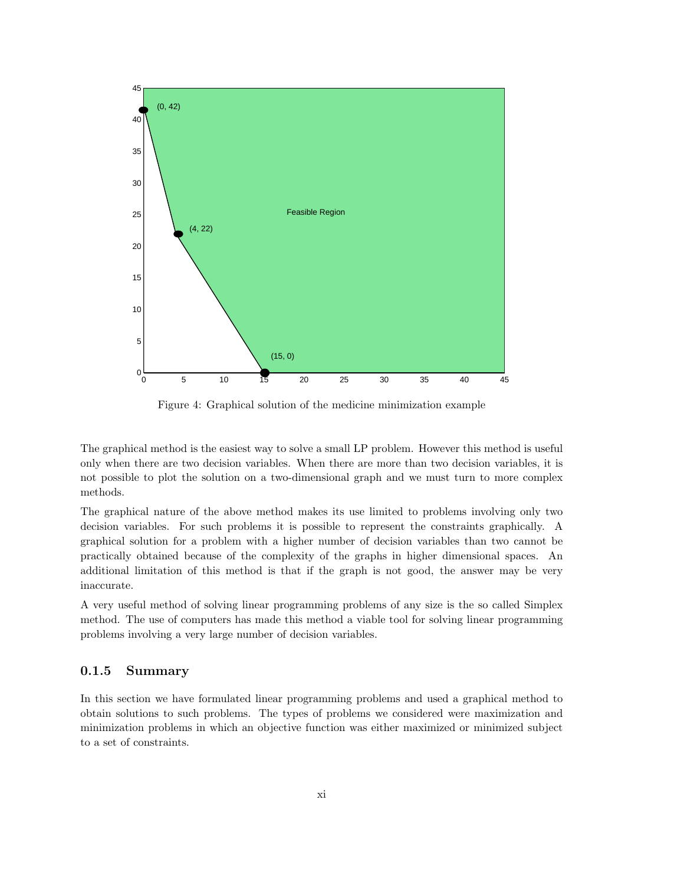

Figure 4: Graphical solution of the medicine minimization example

The graphical method is the easiest way to solve a small LP problem. However this method is useful only when there are two decision variables. When there are more than two decision variables, it is not possible to plot the solution on a two-dimensional graph and we must turn to more complex methods.

The graphical nature of the above method makes its use limited to problems involving only two decision variables. For such problems it is possible to represent the constraints graphically. A graphical solution for a problem with a higher number of decision variables than two cannot be practically obtained because of the complexity of the graphs in higher dimensional spaces. An additional limitation of this method is that if the graph is not good, the answer may be very inaccurate.

A very useful method of solving linear programming problems of any size is the so called Simplex method. The use of computers has made this method a viable tool for solving linear programming problems involving a very large number of decision variables.

# 0.1.5 Summary

In this section we have formulated linear programming problems and used a graphical method to obtain solutions to such problems. The types of problems we considered were maximization and minimization problems in which an objective function was either maximized or minimized subject to a set of constraints.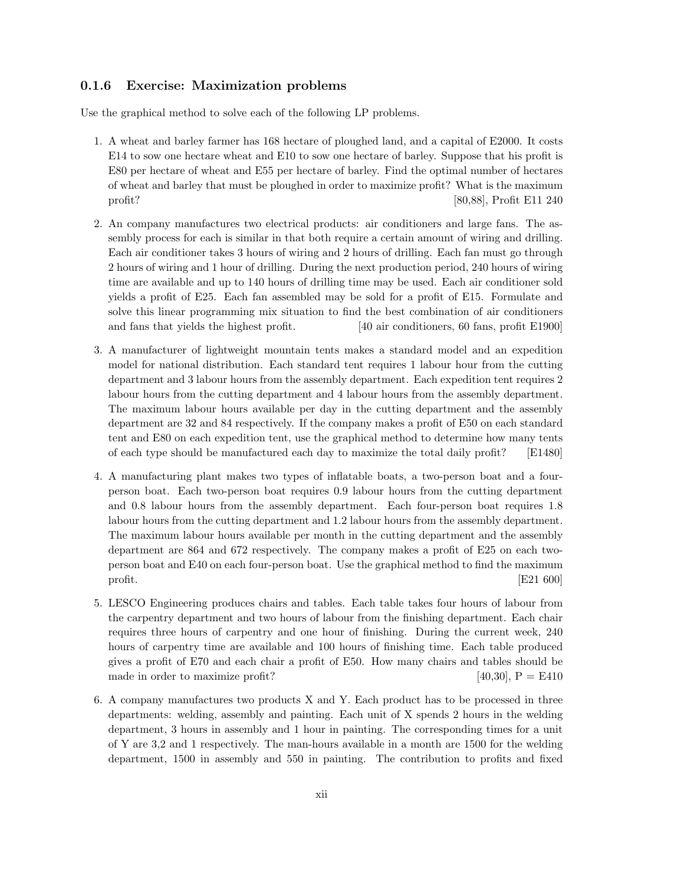# 0.1.6 Exercise: Maximization problems

Use the graphical method to solve each of the following LP problems.

- 1. A wheat and barley farmer has 168 hectare of ploughed land, and a capital of E2000. It costs E14 to sow one hectare wheat and E10 to sow one hectare of barley. Suppose that his profit is E80 per hectare of wheat and E55 per hectare of barley. Find the optimal number of hectares of wheat and barley that must be ploughed in order to maximize profit? What is the maximum profit? [80,88], Profit E11 240
- 2. An company manufactures two electrical products: air conditioners and large fans. The assembly process for each is similar in that both require a certain amount of wiring and drilling. Each air conditioner takes 3 hours of wiring and 2 hours of drilling. Each fan must go through 2 hours of wiring and 1 hour of drilling. During the next production period, 240 hours of wiring time are available and up to 140 hours of drilling time may be used. Each air conditioner sold yields a profit of E25. Each fan assembled may be sold for a profit of E15. Formulate and solve this linear programming mix situation to find the best combination of air conditioners and fans that yields the highest profit. [40 air conditioners, 60 fans, profit E1900]
- 3. A manufacturer of lightweight mountain tents makes a standard model and an expedition model for national distribution. Each standard tent requires 1 labour hour from the cutting department and 3 labour hours from the assembly department. Each expedition tent requires 2 labour hours from the cutting department and 4 labour hours from the assembly department. The maximum labour hours available per day in the cutting department and the assembly department are 32 and 84 respectively. If the company makes a profit of E50 on each standard tent and E80 on each expedition tent, use the graphical method to determine how many tents of each type should be manufactured each day to maximize the total daily profit? [E1480]
- 4. A manufacturing plant makes two types of inflatable boats, a two-person boat and a fourperson boat. Each two-person boat requires 0.9 labour hours from the cutting department and 0.8 labour hours from the assembly department. Each four-person boat requires 1.8 labour hours from the cutting department and 1.2 labour hours from the assembly department. The maximum labour hours available per month in the cutting department and the assembly department are 864 and 672 respectively. The company makes a profit of E25 on each twoperson boat and E40 on each four-person boat. Use the graphical method to find the maximum profit.  $[E21 600]$
- 5. LESCO Engineering produces chairs and tables. Each table takes four hours of labour from the carpentry department and two hours of labour from the finishing department. Each chair requires three hours of carpentry and one hour of finishing. During the current week, 240 hours of carpentry time are available and 100 hours of finishing time. Each table produced gives a profit of E70 and each chair a profit of E50. How many chairs and tables should be made in order to maximize profit?  $[40,30]$ ,  $P = E410$
- 6. A company manufactures two products X and Y. Each product has to be processed in three departments: welding, assembly and painting. Each unit of X spends 2 hours in the welding department, 3 hours in assembly and 1 hour in painting. The corresponding times for a unit of Y are 3,2 and 1 respectively. The man-hours available in a month are 1500 for the welding department, 1500 in assembly and 550 in painting. The contribution to profits and fixed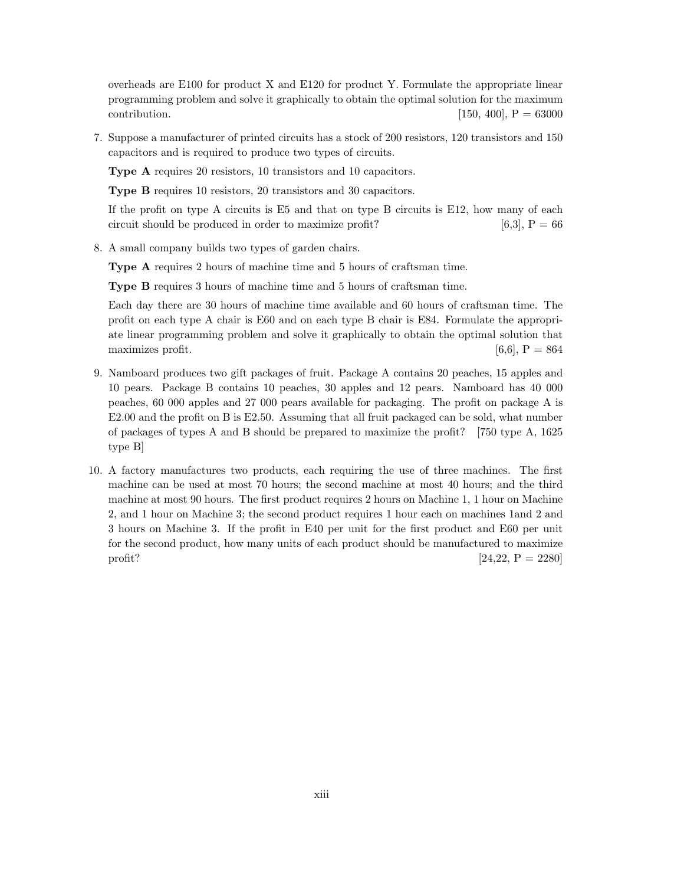overheads are E100 for product X and E120 for product Y. Formulate the appropriate linear programming problem and solve it graphically to obtain the optimal solution for the maximum contribution.  $[150, 400]$ ,  $P = 63000$ 

7. Suppose a manufacturer of printed circuits has a stock of 200 resistors, 120 transistors and 150 capacitors and is required to produce two types of circuits.

Type A requires 20 resistors, 10 transistors and 10 capacitors.

Type B requires 10 resistors, 20 transistors and 30 capacitors.

If the profit on type A circuits is E5 and that on type B circuits is E12, how many of each circuit should be produced in order to maximize profit?  $[6,3]$ ,  $P = 66$ 

8. A small company builds two types of garden chairs.

Type A requires 2 hours of machine time and 5 hours of craftsman time.

Type B requires 3 hours of machine time and 5 hours of craftsman time.

Each day there are 30 hours of machine time available and 60 hours of craftsman time. The profit on each type A chair is E60 and on each type B chair is E84. Formulate the appropriate linear programming problem and solve it graphically to obtain the optimal solution that maximizes profit.  $[6,6]$ ,  $P = 864$ 

- 9. Namboard produces two gift packages of fruit. Package A contains 20 peaches, 15 apples and 10 pears. Package B contains 10 peaches, 30 apples and 12 pears. Namboard has 40 000 peaches, 60 000 apples and 27 000 pears available for packaging. The profit on package A is E2.00 and the profit on B is E2.50. Assuming that all fruit packaged can be sold, what number of packages of types A and B should be prepared to maximize the profit? [750 type A, 1625 type B]
- 10. A factory manufactures two products, each requiring the use of three machines. The first machine can be used at most 70 hours; the second machine at most 40 hours; and the third machine at most 90 hours. The first product requires 2 hours on Machine 1, 1 hour on Machine 2, and 1 hour on Machine 3; the second product requires 1 hour each on machines 1and 2 and 3 hours on Machine 3. If the profit in E40 per unit for the first product and E60 per unit for the second product, how many units of each product should be manufactured to maximize profit?  $[24,22, P = 2280]$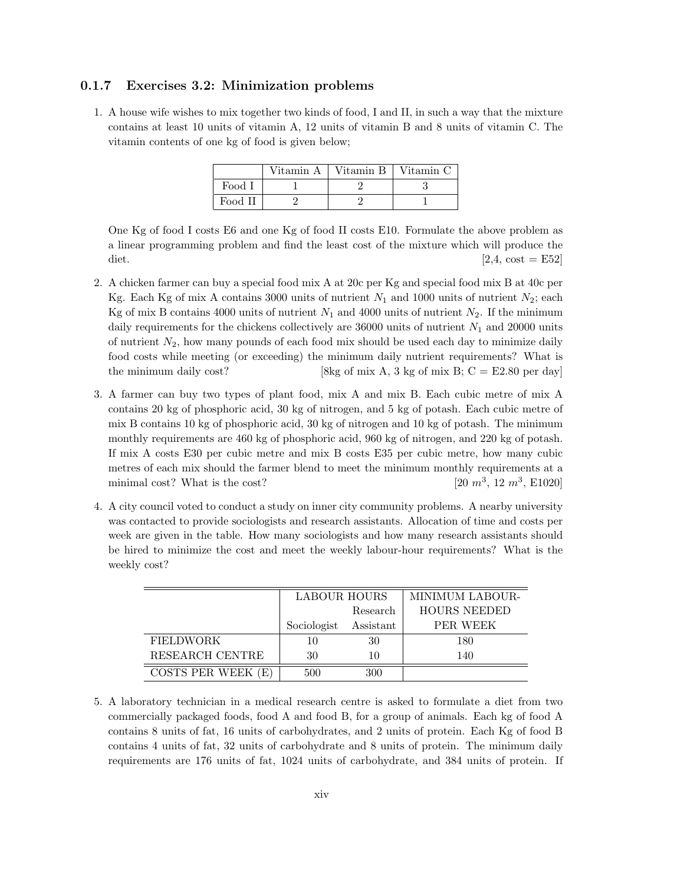# 0.1.7 Exercises 3.2: Minimization problems

1. A house wife wishes to mix together two kinds of food, I and II, in such a way that the mixture contains at least 10 units of vitamin A, 12 units of vitamin B and 8 units of vitamin C. The vitamin contents of one kg of food is given below;

|         | Vitamin A   Vitamin B | Vitamin C |
|---------|-----------------------|-----------|
| Food I  |                       |           |
| Food II |                       |           |

One Kg of food I costs E6 and one Kg of food II costs E10. Formulate the above problem as a linear programming problem and find the least cost of the mixture which will produce the diet.  $[2.4, \text{ cost} = \text{E52}]$ 

- 2. A chicken farmer can buy a special food mix A at 20c per Kg and special food mix B at 40c per Kg. Each Kg of mix A contains 3000 units of nutrient  $N_1$  and 1000 units of nutrient  $N_2$ ; each Kg of mix B contains 4000 units of nutrient  $N_1$  and 4000 units of nutrient  $N_2$ . If the minimum daily requirements for the chickens collectively are  $36000$  units of nutrient  $N_1$  and 20000 units of nutrient  $N_2$ , how many pounds of each food mix should be used each day to minimize daily food costs while meeting (or exceeding) the minimum daily nutrient requirements? What is the minimum daily cost? [8kg of mix A, 3 kg of mix B;  $C = E2.80$  per day]
- 3. A farmer can buy two types of plant food, mix A and mix B. Each cubic metre of mix A contains 20 kg of phosphoric acid, 30 kg of nitrogen, and 5 kg of potash. Each cubic metre of mix B contains 10 kg of phosphoric acid, 30 kg of nitrogen and 10 kg of potash. The minimum monthly requirements are 460 kg of phosphoric acid, 960 kg of nitrogen, and 220 kg of potash. If mix A costs E30 per cubic metre and mix B costs E35 per cubic metre, how many cubic metres of each mix should the farmer blend to meet the minimum monthly requirements at a minimal cost? What is the cost?  $, 12 \, m^3,$  E1020]
- 4. A city council voted to conduct a study on inner city community problems. A nearby university was contacted to provide sociologists and research assistants. Allocation of time and costs per week are given in the table. How many sociologists and how many research assistants should be hired to minimize the cost and meet the weekly labour-hour requirements? What is the weekly cost?

|                    | <b>LABOUR HOURS</b> |           | MINIMUM LABOUR-     |
|--------------------|---------------------|-----------|---------------------|
|                    |                     | Research  | <b>HOURS NEEDED</b> |
|                    | Sociologist         | Assistant | PER WEEK            |
| <b>FIELDWORK</b>   | 10                  | 30        | 180                 |
| RESEARCH CENTRE    | 30                  | 10        | 140                 |
| COSTS PER WEEK (E) | 500                 | 300       |                     |

5. A laboratory technician in a medical research centre is asked to formulate a diet from two commercially packaged foods, food A and food B, for a group of animals. Each kg of food A contains 8 units of fat, 16 units of carbohydrates, and 2 units of protein. Each Kg of food B contains 4 units of fat, 32 units of carbohydrate and 8 units of protein. The minimum daily requirements are 176 units of fat, 1024 units of carbohydrate, and 384 units of protein. If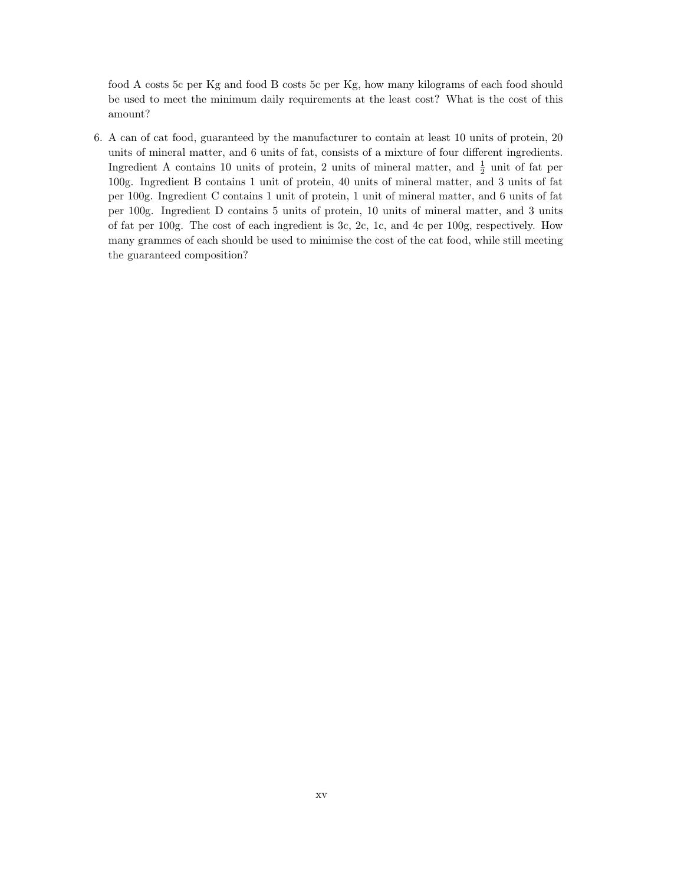food A costs 5c per Kg and food B costs 5c per Kg, how many kilograms of each food should be used to meet the minimum daily requirements at the least cost? What is the cost of this amount?

6. A can of cat food, guaranteed by the manufacturer to contain at least 10 units of protein, 20 units of mineral matter, and 6 units of fat, consists of a mixture of four different ingredients. Ingredient A contains 10 units of protein, 2 units of mineral matter, and  $\frac{1}{2}$  unit of fat per 100g. Ingredient B contains 1 unit of protein, 40 units of mineral matter, and 3 units of fat per 100g. Ingredient C contains 1 unit of protein, 1 unit of mineral matter, and 6 units of fat per 100g. Ingredient D contains 5 units of protein, 10 units of mineral matter, and 3 units of fat per 100g. The cost of each ingredient is 3c, 2c, 1c, and 4c per 100g, respectively. How many grammes of each should be used to minimise the cost of the cat food, while still meeting the guaranteed composition?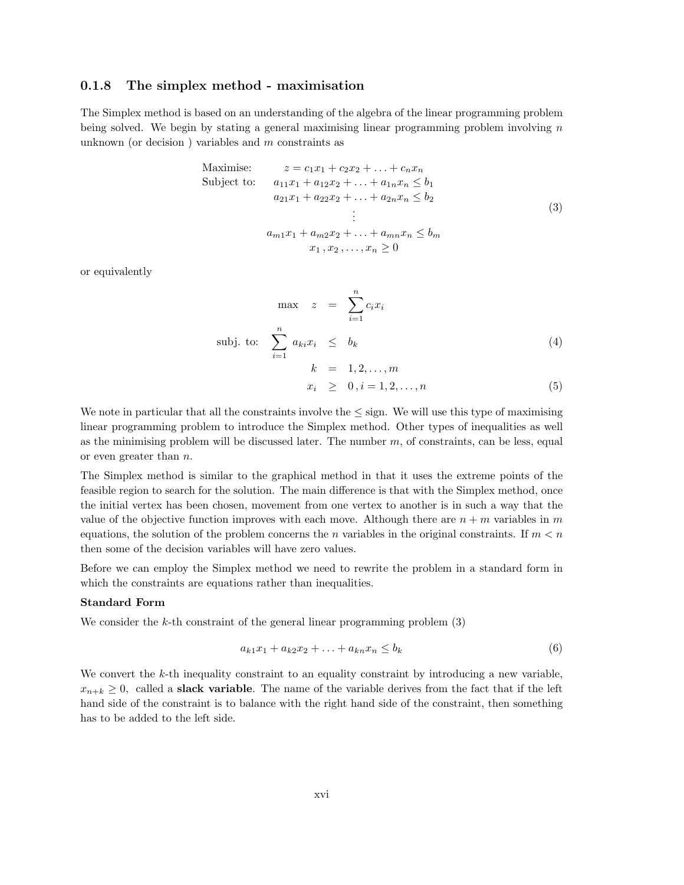# 0.1.8 The simplex method - maximisation

The Simplex method is based on an understanding of the algebra of the linear programming problem being solved. We begin by stating a general maximising linear programming problem involving  $n$ unknown (or decision) variables and  $m$  constraints as

Maximise: 
$$
z = c_1x_1 + c_2x_2 + \dots + c_nx_n
$$
  
\nSubject to:  $a_{11}x_1 + a_{12}x_2 + \dots + a_{1n}x_n \le b_1$   
\n $a_{21}x_1 + a_{22}x_2 + \dots + a_{2n}x_n \le b_2$   
\n $\vdots$   
\n $a_{m1}x_1 + a_{m2}x_2 + \dots + a_{mn}x_n \le b_m$   
\n $x_1, x_2, \dots, x_n \ge 0$  (3)

or equivalently

$$
\max \quad z = \sum_{i=1}^{n} c_i x_i
$$
\n
$$
\text{subj. to:} \quad \sum_{i=1}^{n} a_{ki} x_i \leq b_k
$$
\n
$$
k = 1, 2, \dots, m
$$
\n
$$
(4)
$$

$$
x_i \geq 0, i = 1, 2, \dots, n \tag{5}
$$

We note in particular that all the constraints involve the  $\leq$  sign. We will use this type of maximising linear programming problem to introduce the Simplex method. Other types of inequalities as well as the minimising problem will be discussed later. The number  $m$ , of constraints, can be less, equal or even greater than n.

The Simplex method is similar to the graphical method in that it uses the extreme points of the feasible region to search for the solution. The main difference is that with the Simplex method, once the initial vertex has been chosen, movement from one vertex to another is in such a way that the value of the objective function improves with each move. Although there are  $n + m$  variables in m equations, the solution of the problem concerns the n variables in the original constraints. If  $m < n$ then some of the decision variables will have zero values.

Before we can employ the Simplex method we need to rewrite the problem in a standard form in which the constraints are equations rather than inequalities.

#### Standard Form

We consider the k-th constraint of the general linear programming problem  $(3)$ 

$$
a_{k1}x_1 + a_{k2}x_2 + \ldots + a_{kn}x_n \le b_k \tag{6}
$$

We convert the k-th inequality constraint to an equality constraint by introducing a new variable,  $x_{n+k} \geq 0$ , called a **slack variable**. The name of the variable derives from the fact that if the left hand side of the constraint is to balance with the right hand side of the constraint, then something has to be added to the left side.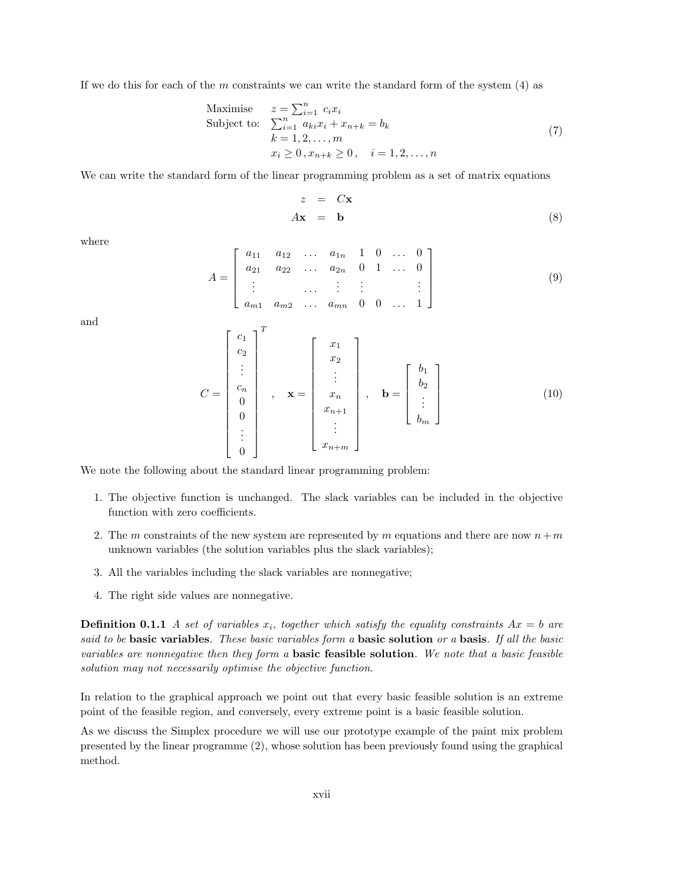If we do this for each of the  $m$  constraints we can write the standard form of the system  $(4)$  as

Maximise 
$$
z = \sum_{i=1}^{n} c_i x_i
$$
  
\nSubject to: 
$$
\sum_{i=1}^{n} a_{ki} x_i + x_{n+k} = b_k
$$

$$
k = 1, 2, ..., m
$$

$$
x_i \ge 0, x_{n+k} \ge 0, \quad i = 1, 2, ..., n
$$
\n(7)

We can write the standard form of the linear programming problem as a set of matrix equations

$$
z = C\mathbf{x}
$$
  

$$
A\mathbf{x} = \mathbf{b}
$$
 (8)

where

$$
A = \begin{bmatrix} a_{11} & a_{12} & \dots & a_{1n} & 1 & 0 & \dots & 0 \\ a_{21} & a_{22} & \dots & a_{2n} & 0 & 1 & \dots & 0 \\ \vdots & & & & \vdots & \vdots & & \vdots \\ a_{m1} & a_{m2} & \dots & a_{mn} & 0 & 0 & \dots & 1 \end{bmatrix}
$$
 (9)

and

$$
C = \begin{bmatrix} c_1 \\ c_2 \\ \vdots \\ c_n \\ 0 \\ 0 \\ \vdots \\ 0 \end{bmatrix}^T, \quad \mathbf{x} = \begin{bmatrix} x_1 \\ x_2 \\ \vdots \\ x_n \\ x_{n+1} \\ \vdots \\ x_{n+m} \end{bmatrix}, \quad \mathbf{b} = \begin{bmatrix} b_1 \\ b_2 \\ \vdots \\ b_m \end{bmatrix}
$$
(10)

We note the following about the standard linear programming problem:

- 1. The objective function is unchanged. The slack variables can be included in the objective function with zero coefficients.
- 2. The m constraints of the new system are represented by m equations and there are now  $n+m$ unknown variables (the solution variables plus the slack variables);
- 3. All the variables including the slack variables are nonnegative;
- 4. The right side values are nonnegative.

**Definition 0.1.1** A set of variables  $x_i$ , together which satisfy the equality constraints  $Ax = b$  are said to be basic variables. These basic variables form a basic solution or a basis. If all the basic variables are nonnegative then they form a **basic feasible solution**. We note that a basic feasible solution may not necessarily optimise the objective function.

In relation to the graphical approach we point out that every basic feasible solution is an extreme point of the feasible region, and conversely, every extreme point is a basic feasible solution.

As we discuss the Simplex procedure we will use our prototype example of the paint mix problem presented by the linear programme (2), whose solution has been previously found using the graphical method.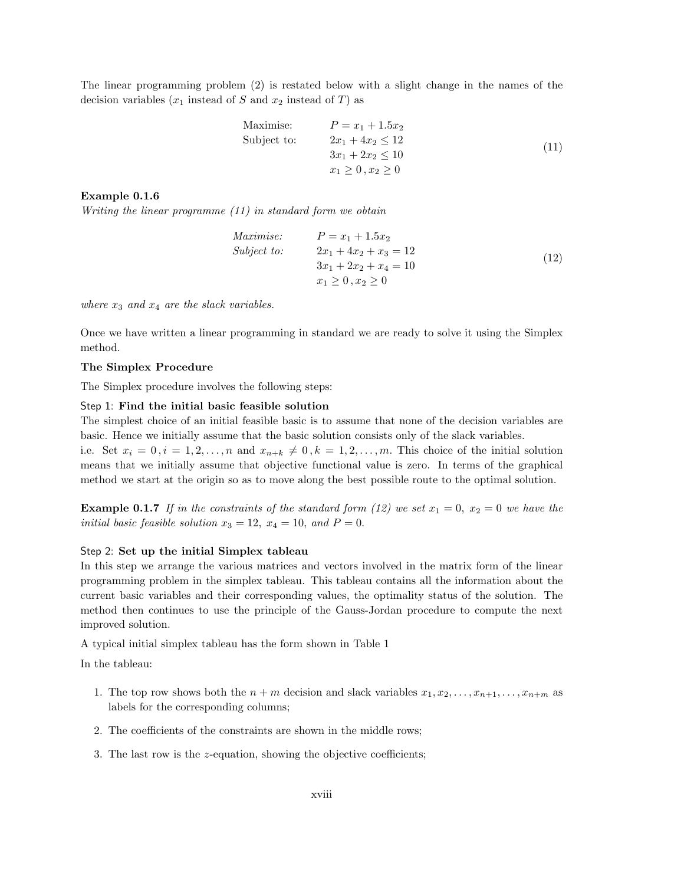The linear programming problem (2) is restated below with a slight change in the names of the decision variables  $(x_1$  instead of S and  $x_2$  instead of T) as

Maximise: 
$$
P = x_1 + 1.5x_2
$$
  
\nSubject to:  $2x_1 + 4x_2 \le 12$   
\n $3x_1 + 2x_2 \le 10$   
\n $x_1 \ge 0, x_2 \ge 0$  (11)

## Example 0.1.6

Writing the linear programme (11) in standard form we obtain

Maximise: 
$$
P = x_1 + 1.5x_2
$$
  
\nSubject to: 
$$
2x_1 + 4x_2 + x_3 = 12
$$

$$
3x_1 + 2x_2 + x_4 = 10
$$

$$
x_1 \ge 0, x_2 \ge 0
$$
\n(12)

where  $x_3$  and  $x_4$  are the slack variables.

Once we have written a linear programming in standard we are ready to solve it using the Simplex method.

## The Simplex Procedure

The Simplex procedure involves the following steps:

## Step 1: Find the initial basic feasible solution

The simplest choice of an initial feasible basic is to assume that none of the decision variables are basic. Hence we initially assume that the basic solution consists only of the slack variables.

i.e. Set  $x_i = 0, i = 1, 2, \ldots, n$  and  $x_{n+k} \neq 0, k = 1, 2, \ldots, m$ . This choice of the initial solution means that we initially assume that objective functional value is zero. In terms of the graphical method we start at the origin so as to move along the best possible route to the optimal solution.

**Example 0.1.7** If in the constraints of the standard form (12) we set  $x_1 = 0$ ,  $x_2 = 0$  we have the initial basic feasible solution  $x_3 = 12$ ,  $x_4 = 10$ , and  $P = 0$ .

#### Step 2: Set up the initial Simplex tableau

In this step we arrange the various matrices and vectors involved in the matrix form of the linear programming problem in the simplex tableau. This tableau contains all the information about the current basic variables and their corresponding values, the optimality status of the solution. The method then continues to use the principle of the Gauss-Jordan procedure to compute the next improved solution.

A typical initial simplex tableau has the form shown in Table 1

In the tableau:

- 1. The top row shows both the  $n + m$  decision and slack variables  $x_1, x_2, \ldots, x_{n+1}, \ldots, x_{n+m}$  as labels for the corresponding columns;
- 2. The coefficients of the constraints are shown in the middle rows;
- 3. The last row is the z-equation, showing the objective coefficients;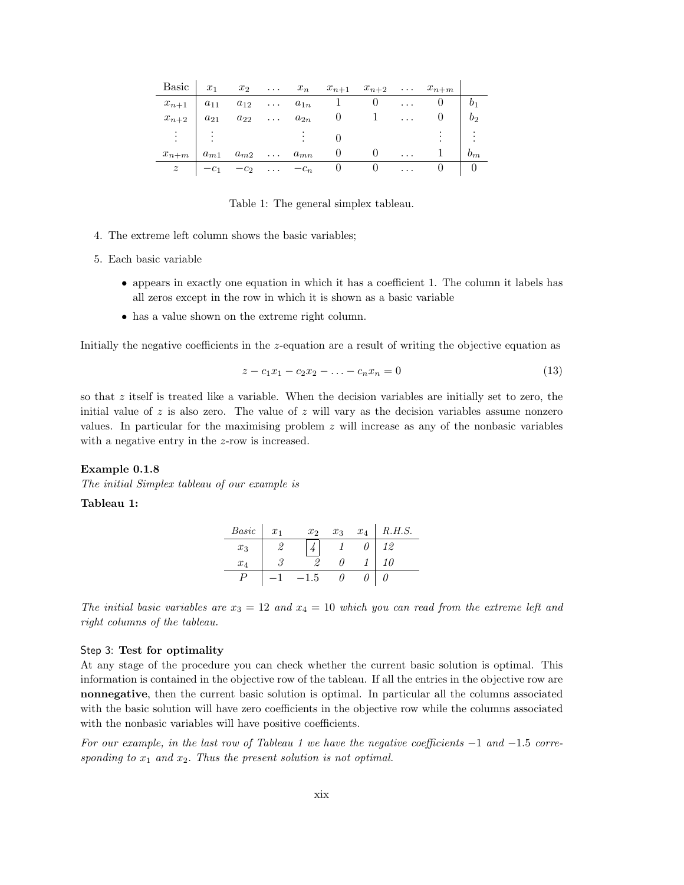|                                |        |                                    |  | Basic $x_1$ $x_2$ $x_n$ $x_{n+1}$ $x_{n+2}$ $x_{n+m}$ |              |                                 |                |
|--------------------------------|--------|------------------------------------|--|-------------------------------------------------------|--------------|---------------------------------|----------------|
|                                |        |                                    |  | $x_{n+1}$   $a_{11}$ $a_{12}$ $a_{1n}$ 1 0            |              | $\cdots$ 0                      |                |
| $x_{n+2}$   $a_{21}$           |        |                                    |  | $a_{22} \ldots a_{2n} \quad 0 \quad 1 \ldots$         |              | $\begin{matrix} 0 \end{matrix}$ | b <sub>2</sub> |
| $\mathbb{R} \times \mathbb{R}$ |        |                                    |  |                                                       |              |                                 |                |
| $x_{n+m}$                      |        | $a_{m1}$ $a_{m2}$ $\dots$ $a_{mn}$ |  | $\sim 0$                                              | $\mathbf{1}$ |                                 | $b_m$          |
| $z$                            | $-c_1$ |                                    |  | $-c_2$ $-c_n$ 0 0                                     |              |                                 |                |

Table 1: The general simplex tableau.

- 4. The extreme left column shows the basic variables;
- 5. Each basic variable
	- appears in exactly one equation in which it has a coefficient 1. The column it labels has all zeros except in the row in which it is shown as a basic variable
	- has a value shown on the extreme right column.

Initially the negative coefficients in the z-equation are a result of writing the objective equation as

$$
z - c_1 x_1 - c_2 x_2 - \ldots - c_n x_n = 0 \tag{13}
$$

so that z itself is treated like a variable. When the decision variables are initially set to zero, the initial value of  $z$  is also zero. The value of  $z$  will vary as the decision variables assume nonzero values. In particular for the maximising problem  $z$  will increase as any of the nonbasic variables with a negative entry in the z-row is increased.

#### Example 0.1.8

The initial Simplex tableau of our example is

## Tableau 1:

| <i>Basic</i> | $x_1$ | x <sub>2</sub> | $x_3$ | $x_4$ | R.H.S. |
|--------------|-------|----------------|-------|-------|--------|
| $x_3$        |       |                |       |       | 12     |
| $x_4$        |       |                |       |       | 10     |
|              |       |                |       |       |        |

The initial basic variables are  $x_3 = 12$  and  $x_4 = 10$  which you can read from the extreme left and right columns of the tableau.

#### Step 3: Test for optimality

At any stage of the procedure you can check whether the current basic solution is optimal. This information is contained in the objective row of the tableau. If all the entries in the objective row are nonnegative, then the current basic solution is optimal. In particular all the columns associated with the basic solution will have zero coefficients in the objective row while the columns associated with the nonbasic variables will have positive coefficients.

For our example, in the last row of Tableau 1 we have the negative coefficients  $-1$  and  $-1.5$  corresponding to  $x_1$  and  $x_2$ . Thus the present solution is not optimal.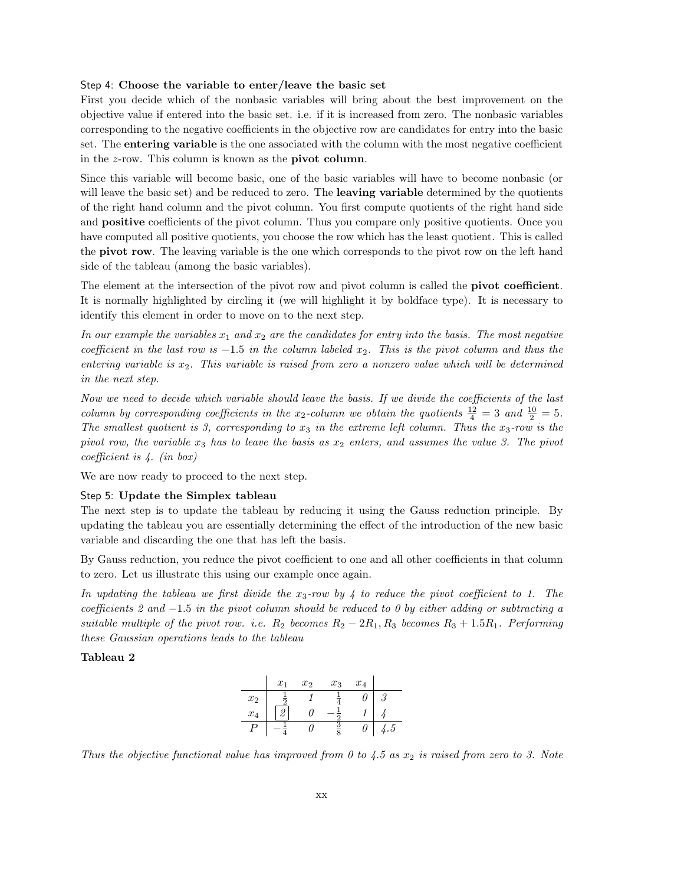#### Step 4: Choose the variable to enter/leave the basic set

First you decide which of the nonbasic variables will bring about the best improvement on the objective value if entered into the basic set. i.e. if it is increased from zero. The nonbasic variables corresponding to the negative coefficients in the objective row are candidates for entry into the basic set. The entering variable is the one associated with the column with the most negative coefficient in the z-row. This column is known as the pivot column.

Since this variable will become basic, one of the basic variables will have to become nonbasic (or will leave the basic set) and be reduced to zero. The **leaving variable** determined by the quotients of the right hand column and the pivot column. You first compute quotients of the right hand side and **positive** coefficients of the pivot column. Thus you compare only positive quotients. Once you have computed all positive quotients, you choose the row which has the least quotient. This is called the pivot row. The leaving variable is the one which corresponds to the pivot row on the left hand side of the tableau (among the basic variables).

The element at the intersection of the pivot row and pivot column is called the **pivot coefficient**. It is normally highlighted by circling it (we will highlight it by boldface type). It is necessary to identify this element in order to move on to the next step.

In our example the variables  $x_1$  and  $x_2$  are the candidates for entry into the basis. The most negative coefficient in the last row is  $-1.5$  in the column labeled  $x_2$ . This is the pivot column and thus the entering variable is  $x_2$ . This variable is raised from zero a nonzero value which will be determined in the next step.

Now we need to decide which variable should leave the basis. If we divide the coefficients of the last column by corresponding coefficients in the x<sub>2</sub>-column we obtain the quotients  $\frac{12}{4} = 3$  and  $\frac{10}{2} = 5$ . The smallest quotient is 3, corresponding to  $x_3$  in the extreme left column. Thus the  $x_3$ -row is the pivot row, the variable  $x_3$  has to leave the basis as  $x_2$  enters, and assumes the value 3. The pivot coefficient is 4. (in box)

We are now ready to proceed to the next step.

# Step 5: Update the Simplex tableau

The next step is to update the tableau by reducing it using the Gauss reduction principle. By updating the tableau you are essentially determining the effect of the introduction of the new basic variable and discarding the one that has left the basis.

By Gauss reduction, you reduce the pivot coefficient to one and all other coefficients in that column to zero. Let us illustrate this using our example once again.

In updating the tableau we first divide the  $x_3$ -row by 4 to reduce the pivot coefficient to 1. The coefficients 2 and  $-1.5$  in the pivot column should be reduced to 0 by either adding or subtracting a suitable multiple of the pivot row. i.e.  $R_2$  becomes  $R_2 - 2R_1, R_3$  becomes  $R_3 + 1.5R_1$ . Performing these Gaussian operations leads to the tableau

#### Tableau 2

|       | $x_1$ | $x_2$ | $x_3$ | $x_4$ |           |
|-------|-------|-------|-------|-------|-----------|
| $x_2$ |       |       |       |       | 6         |
| $x_4$ |       |       |       |       |           |
| D     |       |       |       |       | $\cdot 5$ |

Thus the objective functional value has improved from 0 to 4.5 as  $x_2$  is raised from zero to 3. Note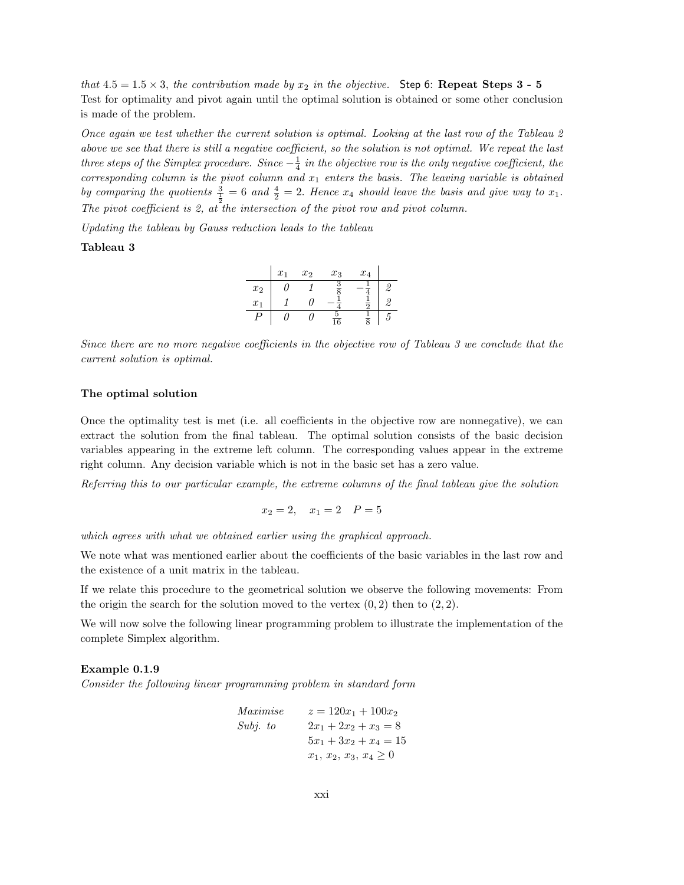that 4.5 = 1.5  $\times$  3, the contribution made by  $x_2$  in the objective. Step 6: Repeat Steps 3 - 5 Test for optimality and pivot again until the optimal solution is obtained or some other conclusion is made of the problem.

Once again we test whether the current solution is optimal. Looking at the last row of the Tableau 2 above we see that there is still a negative coefficient, so the solution is not optimal. We repeat the last three steps of the Simplex procedure. Since  $-\frac{1}{4}$  in the objective row is the only negative coefficient, the corresponding column is the pivot column and  $x_1$  enters the basis. The leaving variable is obtained by comparing the quotients  $\frac{3}{\frac{1}{2}}=6$  and  $\frac{4}{2}=2$ . Hence  $x_4$  should leave the basis and give way to  $x_1$ . The pivot coefficient is 2, at the intersection of the pivot row and pivot column.

Updating the tableau by Gauss reduction leads to the tableau

## Tableau 3

|       | $x_1$ | $x_2$ | $x_3$           | $x_4$ |  |
|-------|-------|-------|-----------------|-------|--|
| $x_2$ |       |       |                 |       |  |
| $x_1$ |       |       |                 |       |  |
| נ ו   |       |       | $\overline{16}$ |       |  |

Since there are no more negative coefficients in the objective row of Tableau 3 we conclude that the current solution is optimal.

#### The optimal solution

Once the optimality test is met (i.e. all coefficients in the objective row are nonnegative), we can extract the solution from the final tableau. The optimal solution consists of the basic decision variables appearing in the extreme left column. The corresponding values appear in the extreme right column. Any decision variable which is not in the basic set has a zero value.

Referring this to our particular example, the extreme columns of the final tableau give the solution

$$
x_2 = 2, \quad x_1 = 2 \quad P = 5
$$

which agrees with what we obtained earlier using the graphical approach.

We note what was mentioned earlier about the coefficients of the basic variables in the last row and the existence of a unit matrix in the tableau.

If we relate this procedure to the geometrical solution we observe the following movements: From the origin the search for the solution moved to the vertex  $(0, 2)$  then to  $(2, 2)$ .

We will now solve the following linear programming problem to illustrate the implementation of the complete Simplex algorithm.

#### Example 0.1.9

Consider the following linear programming problem in standard form

Maximise

\n
$$
z = 120x_1 + 100x_2
$$
\nSubj. to

\n
$$
2x_1 + 2x_2 + x_3 = 8
$$
\n
$$
5x_1 + 3x_2 + x_4 = 15
$$
\n
$$
x_1, x_2, x_3, x_4 \ge 0
$$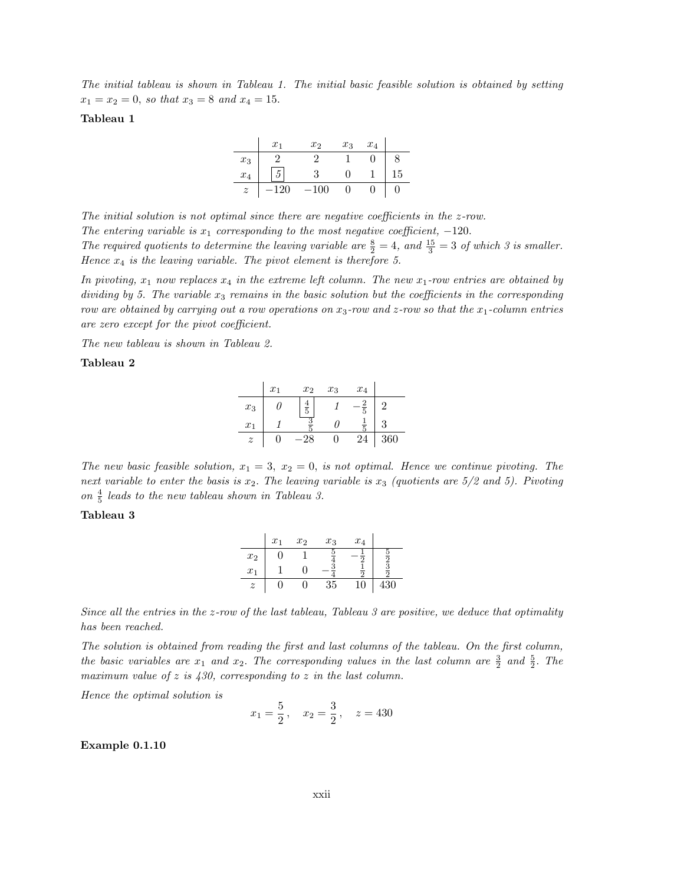The initial tableau is shown in Tableau 1. The initial basic feasible solution is obtained by setting  $x_1 = x_2 = 0$ , so that  $x_3 = 8$  and  $x_4 = 15$ .

## Tableau 1

|                  | $x_1$ | x <sub>2</sub> | $x_3$ | $x_4$ |    |
|------------------|-------|----------------|-------|-------|----|
| $x_3$            |       |                |       |       | 8  |
| $x_4$            |       |                |       |       | 15 |
| $\boldsymbol{z}$ |       |                |       |       |    |

The initial solution is not optimal since there are negative coefficients in the z-row. The entering variable is  $x_1$  corresponding to the most negative coefficient,  $-120$ . The required quotients to determine the leaving variable are  $\frac{8}{2} = 4$ , and  $\frac{15}{3} = 3$  of which 3 is smaller. Hence  $x_4$  is the leaving variable. The pivot element is therefore 5.

In pivoting,  $x_1$  now replaces  $x_4$  in the extreme left column. The new  $x_1$ -row entries are obtained by dividing by 5. The variable  $x_3$  remains in the basic solution but the coefficients in the corresponding row are obtained by carrying out a row operations on  $x_3$ -row and z-row so that the  $x_1$ -column entries are zero except for the pivot coefficient.

The new tableau is shown in Tableau 2.

# Tableau 2

|                  | $x_1$ | x <sub>2</sub> | $x_3$ | $x_4$  |     |
|------------------|-------|----------------|-------|--------|-----|
| $x_3$            |       | $\frac{4}{5}$  |       | 2<br>5 |     |
| $x_1$            |       |                |       |        |     |
| $\boldsymbol{z}$ |       |                |       | 24     | 360 |

The new basic feasible solution,  $x_1 = 3$ ,  $x_2 = 0$ , is not optimal. Hence we continue pivoting. The next variable to enter the basis is  $x_2$ . The leaving variable is  $x_3$  (quotients are  $5/2$  and  $5$ ). Pivoting on  $\frac{4}{5}$  leads to the new tableau shown in Tableau 3.

# Tableau 3

|                  | $x_1$ | $x_2$ | $x_3$ | $x_4$ |    |
|------------------|-------|-------|-------|-------|----|
| $x_2$            |       |       |       |       |    |
| $x_1$            |       |       |       |       |    |
| $\boldsymbol{z}$ |       |       | 35    | 10    | 30 |

Since all the entries in the z-row of the last tableau, Tableau 3 are positive, we deduce that optimality has been reached.

The solution is obtained from reading the first and last columns of the tableau. On the first column, the basic variables are  $x_1$  and  $x_2$ . The corresponding values in the last column are  $\frac{3}{2}$  and  $\frac{5}{2}$ . The maximum value of  $z$  is  $430$ , corresponding to  $z$  in the last column.

Hence the optimal solution is

$$
x_1 = \frac{5}{2}
$$
,  $x_2 = \frac{3}{2}$ ,  $z = 430$ 

Example 0.1.10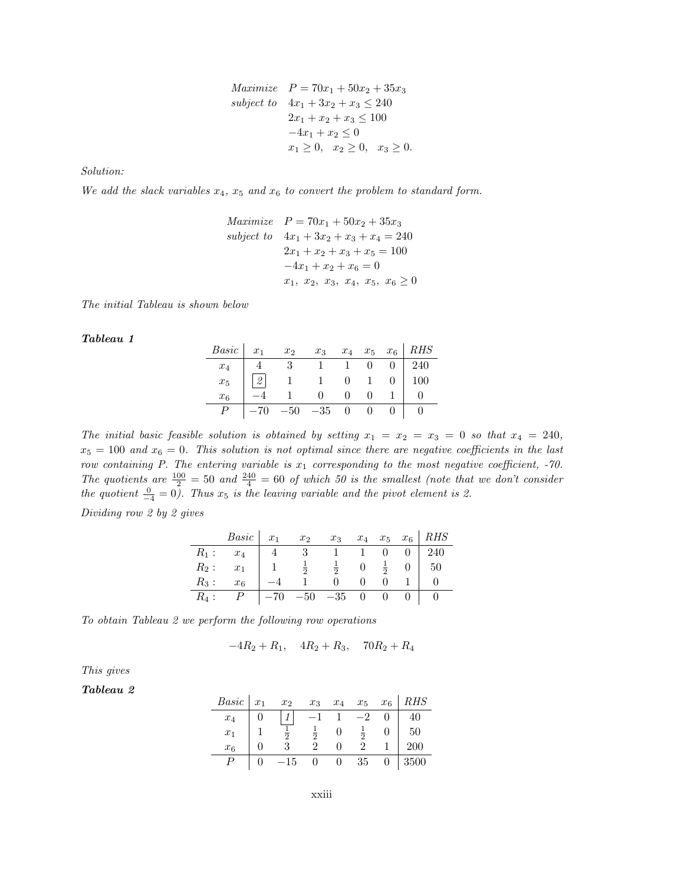$$
Maximize \t P = 70x_1 + 50x_2 + 35x_3
$$
  
subject to 
$$
4x_1 + 3x_2 + x_3 \le 240
$$

$$
2x_1 + x_2 + x_3 \le 100
$$

$$
-4x_1 + x_2 \le 0
$$

$$
x_1 \ge 0, \quad x_2 \ge 0, \quad x_3 \ge 0.
$$

Solution:

We add the slack variables  $x_4$ ,  $x_5$  and  $x_6$  to convert the problem to standard form.

$$
Maximize \t P = 70x_1 + 50x_2 + 35x_3
$$
  
\nsubject to 
$$
4x_1 + 3x_2 + x_3 + x_4 = 240
$$
  
\n
$$
2x_1 + x_2 + x_3 + x_5 = 100
$$
  
\n
$$
-4x_1 + x_2 + x_6 = 0
$$
  
\n
$$
x_1, x_2, x_3, x_4, x_5, x_6 \ge 0
$$

The initial Tableau is shown below

Tableau 1

| Basic $x_1$ $x_2$ $x_3$ $x_4$ $x_5$ $x_6$ RHS |                                                                                                            |                                                                     |  |  |
|-----------------------------------------------|------------------------------------------------------------------------------------------------------------|---------------------------------------------------------------------|--|--|
|                                               |                                                                                                            |                                                                     |  |  |
|                                               | $\begin{array}{c cccc} x_4 & 4 & 3 & 1 & 1 & 0 & 0 & 240 \\ x_5 & 2 & 1 & 1 & 0 & 1 & 0 & 100 \end{array}$ |                                                                     |  |  |
| $x_{6}$                                       |                                                                                                            |                                                                     |  |  |
|                                               |                                                                                                            | $\begin{array}{cccccc} -70 & -50 & -35 & 0 & 0 & 0 & 0 \end{array}$ |  |  |

The initial basic feasible solution is obtained by setting  $x_1 = x_2 = x_3 = 0$  so that  $x_4 = 240$ ,  $x_5 = 100$  and  $x_6 = 0$ . This solution is not optimal since there are negative coefficients in the last row containing P. The entering variable is  $x_1$  corresponding to the most negative coefficient, -70. The quotients are  $\frac{100}{2} = 50$  and  $\frac{240}{4} = 60$  of which 50 is the smallest (note that we don't consider the quotient  $\frac{0}{-4} = 0$ ). Thus  $x_5$  is the leaving variable and the pivot element is 2.

Dividing row 2 by 2 gives

|         | $Basic \mid x_1$ |             | $x_2$           | $x_3$         |                |                |                                    | $x_4$ $x_5$ $x_6$ RHS |
|---------|------------------|-------------|-----------------|---------------|----------------|----------------|------------------------------------|-----------------------|
| $R_1:$  | $x_4$            | $4 \quad 3$ |                 |               | $\sim$ 1       | 0              |                                    | 240                   |
| $R_2$ : | $x_1$            |             | 1 $\frac{1}{2}$ | $\frac{1}{2}$ | $\overline{0}$ | $\frac{1}{2}$  | $\begin{array}{c c} 0 \end{array}$ | 50                    |
| $R_3$ : | x <sub>6</sub>   |             |                 | 0             |                |                |                                    |                       |
| $R_4$ : |                  | $-70$       |                 | $-50 -35$     | $\overline{0}$ | $\overline{0}$ |                                    |                       |

To obtain Tableau 2 we perform the following row operations

$$
-4R_2 + R_1, \quad 4R_2 + R_3, \quad 70R_2 + R_4
$$

This gives

Tableau 2

| Basic | $x_1$ | $x_2$        | $x_3$ | $x_4$ | $x_5$          | $x_6$ | $\mathcal{R} H S$ |
|-------|-------|--------------|-------|-------|----------------|-------|-------------------|
| $x_4$ |       |              |       |       | $\Omega$       |       | 40                |
| $x_1$ |       |              |       |       | $\overline{2}$ |       | 50                |
| $x_6$ |       |              |       |       |                |       | 200               |
|       |       | $^{\rm -15}$ |       |       | 35             |       | 3500              |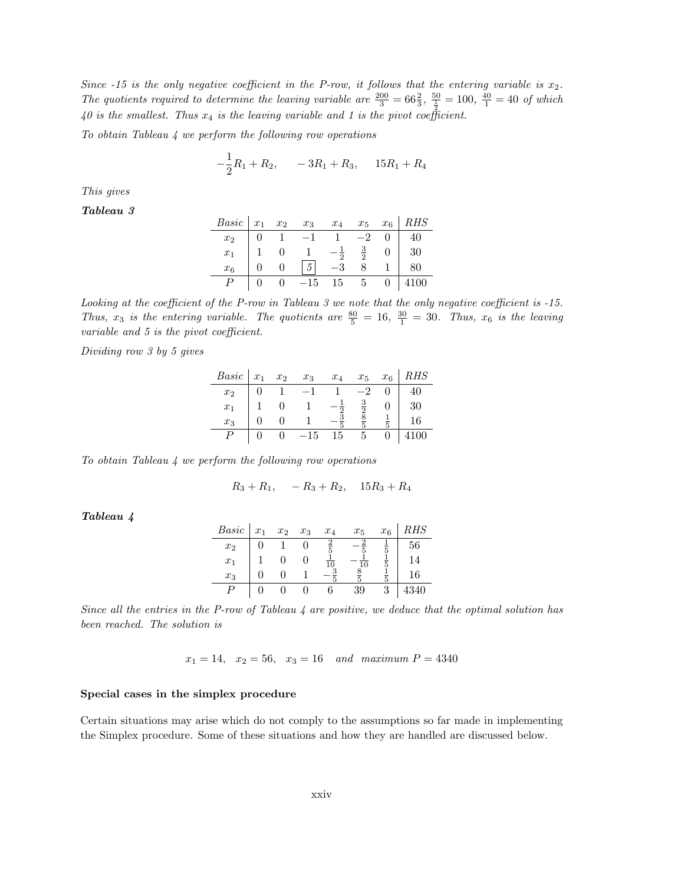Since  $-15$  is the only negative coefficient in the P-row, it follows that the entering variable is  $x_2$ . The quotients required to determine the leaving variable are  $\frac{200}{3} = 66\frac{2}{3}$ ,  $\frac{50}{\frac{1}{2}} = 100$ ,  $\frac{40}{1} = 40$  of which 40 is the smallest. Thus  $x_4$  is the leaving variable and 1 is the pivot coefficient.

To obtain Tableau 4 we perform the following row operations

$$
-\frac{1}{2}R_1 + R_2, \qquad -3R_1 + R_3, \qquad 15R_1 + R_4
$$

This gives

Tableau 3

| <i>Basic</i> $x_1$ $x_2$ $x_3$ $x_4$ $x_5$ $x_6$ <i>RHS</i> |  |                                                                                                                                                                |  |                                                   |
|-------------------------------------------------------------|--|----------------------------------------------------------------------------------------------------------------------------------------------------------------|--|---------------------------------------------------|
| $x_2$                                                       |  |                                                                                                                                                                |  | $0 \mid 40$                                       |
| $x_1$                                                       |  | $\begin{array}{ c cccc } \hline 0 & 1 & -1 & 1 & -2 & 0 \\ 1 & 0 & 1 & -\frac{1}{2} & \frac{3}{2} & 0 \\ 0 & 0 & \boxed{5} & -3 & 8 & 1 \\ \hline \end{array}$ |  | $\begin{array}{c c} 0 & 30 \\ 1 & 80 \end{array}$ |
| x <sub>6</sub>                                              |  |                                                                                                                                                                |  |                                                   |
|                                                             |  | $\begin{vmatrix} 0 & 0 & -15 & 15 & 5 & 0 & 4100 \end{vmatrix}$                                                                                                |  |                                                   |

Looking at the coefficient of the P-row in Tableau 3 we note that the only negative coefficient is -15. Thus,  $x_3$  is the entering variable. The quotients are  $\frac{80}{5} = 16$ ,  $\frac{30}{1} = 30$ . Thus,  $x_6$  is the leaving variable and 5 is the pivot coefficient.

Dividing row 3 by 5 gives

| Basic          | $x_1$ | $x_2$ | $x_3$ | $x_4$ | $x_5$ | $x_6$ | <i>RHS</i> |
|----------------|-------|-------|-------|-------|-------|-------|------------|
| x <sub>2</sub> |       |       |       |       |       |       | 40         |
| $x_1$          |       |       |       |       |       |       | 30         |
| $x_3$          |       |       |       |       |       |       |            |
|                |       |       | 5     | 15    |       |       |            |

To obtain Tableau 4 we perform the following row operations

$$
R_3 + R_1, \quad -R_3 + R_2, \quad 15R_3 + R_4
$$

Tableau 4

| Basic | $x_1$ | $x_2$ | $x_3$ | $x_4$ | $x_5$ | $x_6$ |          |
|-------|-------|-------|-------|-------|-------|-------|----------|
| $x_2$ |       |       |       | o     |       |       | 56       |
| $x_1$ |       |       |       |       | l0    |       | $\Delta$ |
| $x_3$ |       |       |       |       |       |       | 16       |
|       |       |       |       |       | 39    |       | 340      |

Since all the entries in the P-row of Tableau  $\mu$  are positive, we deduce that the optimal solution has been reached. The solution is

 $x_1 = 14$ ,  $x_2 = 56$ ,  $x_3 = 16$  and maximum  $P = 4340$ 

# Special cases in the simplex procedure

Certain situations may arise which do not comply to the assumptions so far made in implementing the Simplex procedure. Some of these situations and how they are handled are discussed below.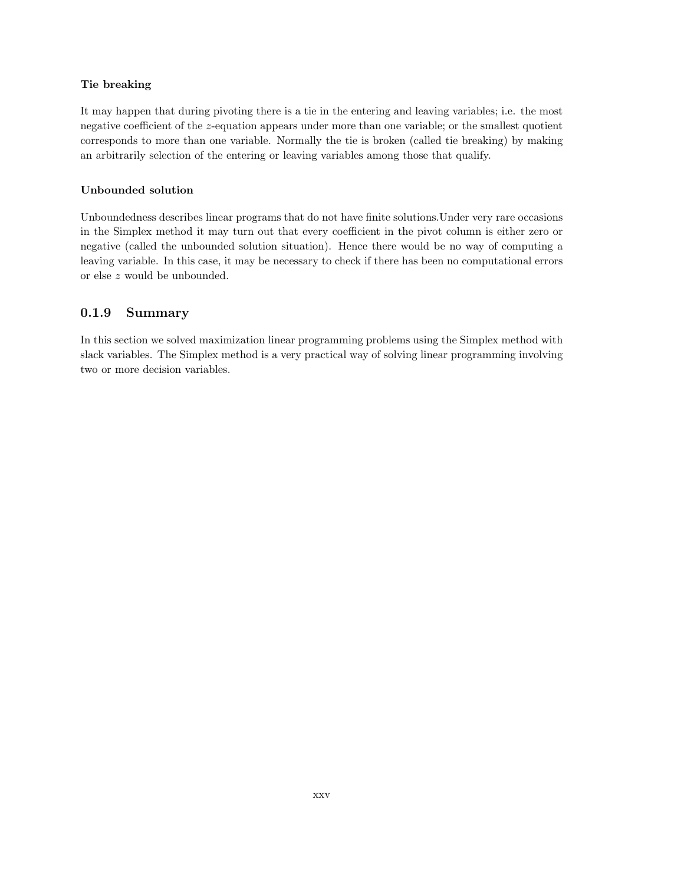# Tie breaking

It may happen that during pivoting there is a tie in the entering and leaving variables; i.e. the most negative coefficient of the z-equation appears under more than one variable; or the smallest quotient corresponds to more than one variable. Normally the tie is broken (called tie breaking) by making an arbitrarily selection of the entering or leaving variables among those that qualify.

# Unbounded solution

Unboundedness describes linear programs that do not have finite solutions.Under very rare occasions in the Simplex method it may turn out that every coefficient in the pivot column is either zero or negative (called the unbounded solution situation). Hence there would be no way of computing a leaving variable. In this case, it may be necessary to check if there has been no computational errors or else z would be unbounded.

# 0.1.9 Summary

In this section we solved maximization linear programming problems using the Simplex method with slack variables. The Simplex method is a very practical way of solving linear programming involving two or more decision variables.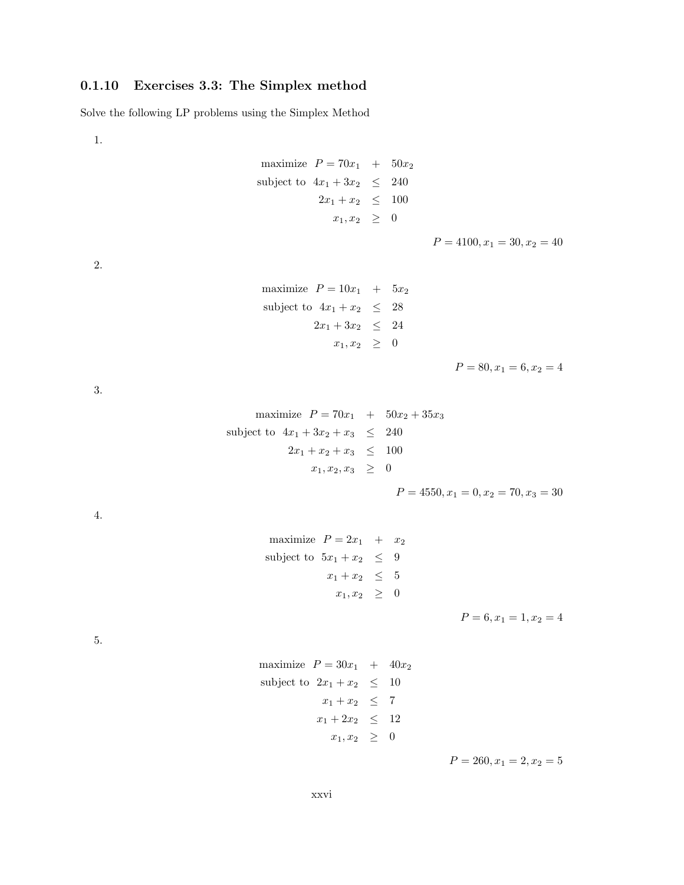# 0.1.10 Exercises 3.3: The Simplex method

Solve the following LP problems using the Simplex Method

1.

maximize 
$$
P = 70x_1 + 50x_2
$$
  
subject to  $4x_1 + 3x_2 \le 240$   
 $2x_1 + x_2 \le 100$   
 $x_1, x_2 \ge 0$ 

2.

maximize 
$$
P = 10x_1 + 5x_2
$$
  
\nsubject to  $4x_1 + x_2 \le 28$   
\n $2x_1 + 3x_2 \le 24$   
\n $x_1, x_2 \ge 0$ 

 $P = 80, x_1 = 6, x_2 = 4$ 

 $P = 4100, x_1 = 30, x_2 = 40$ 

3.

maximize 
$$
P = 70x_1 + 50x_2 + 35x_3
$$
  
\nsubject to  $4x_1 + 3x_2 + x_3 \le 240$   
\n $2x_1 + x_2 + x_3 \le 100$   
\n $x_1, x_2, x_3 \ge 0$ 

$$
P = 4550, x_1 = 0, x_2 = 70, x_3 = 30
$$

4.

maximize 
$$
P = 2x_1 + x_2
$$
  
subject to  $5x_1 + x_2 \le 9$   
 $x_1 + x_2 \le 5$   
 $x_1, x_2 \ge 0$ 

 $P = 6, x_1 = 1, x_2 = 4$ 

5.

maximize 
$$
P = 30x_1 + 40x_2
$$
  
\nsubject to  $2x_1 + x_2 \le 10$   
\n $x_1 + x_2 \le 7$   
\n $x_1 + 2x_2 \le 12$   
\n $x_1, x_2 \ge 0$ 

 $P = 260, x_1 = 2, x_2 = 5$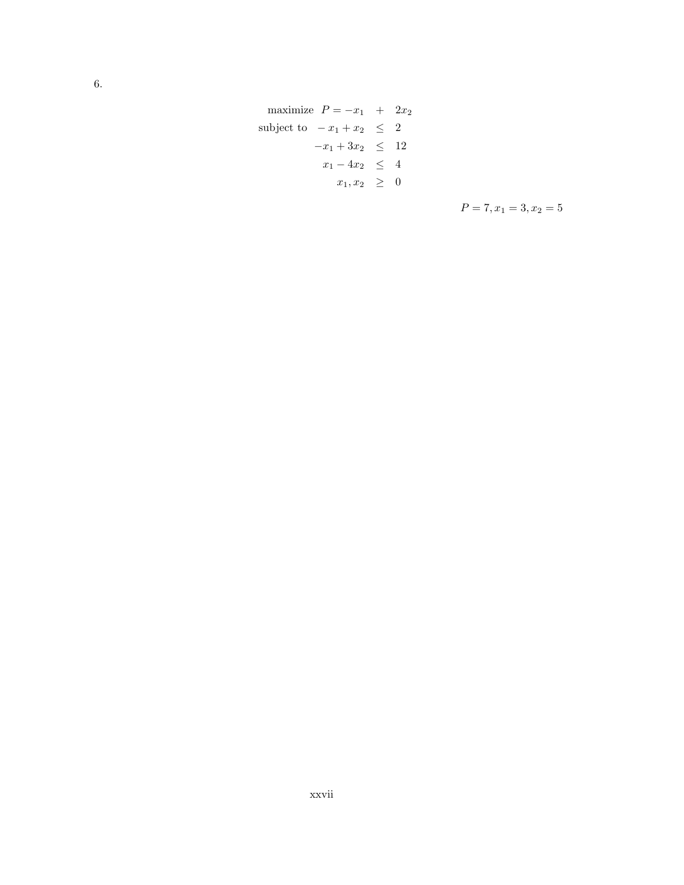maximize  $P = -x_1 + 2x_2$ subject to  $-x_1 + x_2 \leq 2$  $-x_1 + 3x_2 \leq 12$  $x_1 - 4x_2 \leq 4$  $x_1, x_2 \geq 0$ 

 $P = 7, x_1 = 3, x_2 = 5$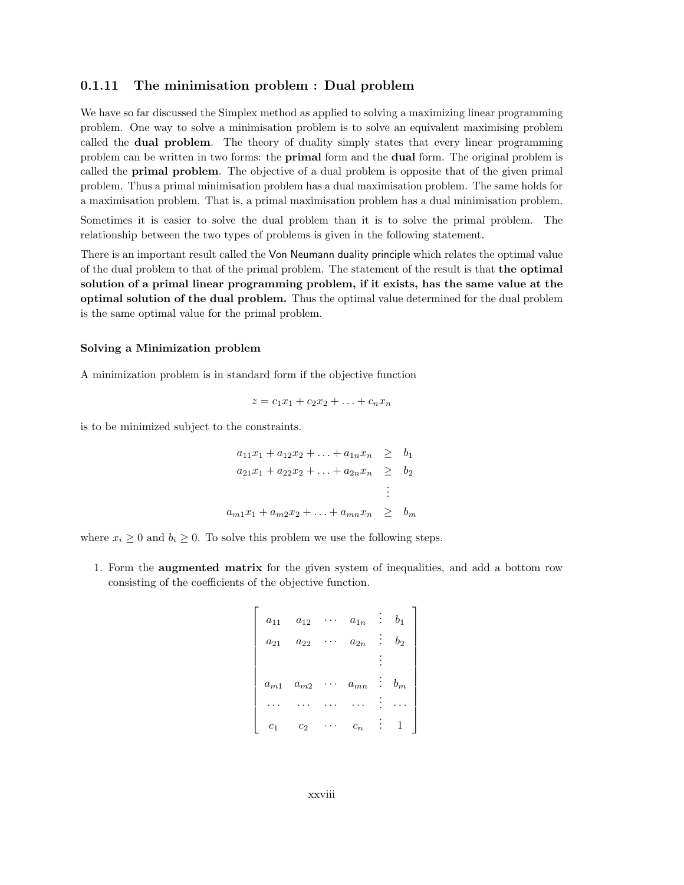# 0.1.11 The minimisation problem : Dual problem

We have so far discussed the Simplex method as applied to solving a maximizing linear programming problem. One way to solve a minimisation problem is to solve an equivalent maximising problem called the dual problem. The theory of duality simply states that every linear programming problem can be written in two forms: the primal form and the dual form. The original problem is called the primal problem. The objective of a dual problem is opposite that of the given primal problem. Thus a primal minimisation problem has a dual maximisation problem. The same holds for a maximisation problem. That is, a primal maximisation problem has a dual minimisation problem.

Sometimes it is easier to solve the dual problem than it is to solve the primal problem. The relationship between the two types of problems is given in the following statement.

There is an important result called the Von Neumann duality principle which relates the optimal value of the dual problem to that of the primal problem. The statement of the result is that the optimal solution of a primal linear programming problem, if it exists, has the same value at the optimal solution of the dual problem. Thus the optimal value determined for the dual problem is the same optimal value for the primal problem.

### Solving a Minimization problem

A minimization problem is in standard form if the objective function

$$
z = c_1 x_1 + c_2 x_2 + \ldots + c_n x_n
$$

is to be minimized subject to the constraints.

$$
a_{11}x_1 + a_{12}x_2 + \ldots + a_{1n}x_n \geq b_1
$$
  
\n
$$
a_{21}x_1 + a_{22}x_2 + \ldots + a_{2n}x_n \geq b_2
$$
  
\n
$$
\vdots
$$
  
\n
$$
a_{m1}x_1 + a_{m2}x_2 + \ldots + a_{mn}x_n \geq b_m
$$

where  $x_i \geq 0$  and  $b_i \geq 0$ . To solve this problem we use the following steps.

1. Form the augmented matrix for the given system of inequalities, and add a bottom row consisting of the coefficients of the objective function.

```
\lceil

    a_{11} a_{12} \cdots a_{1n} : b_1a_{21} a_{22} \cdots a_{2n} : b_2.
.
.
   a_{m1} a_{m2} \cdots a_{mn} : b_m· · · · · · · · · · · ·
.
.
. · · ·
    c_1 c_2 \cdots c_n : 1
                                            1
```
xxviii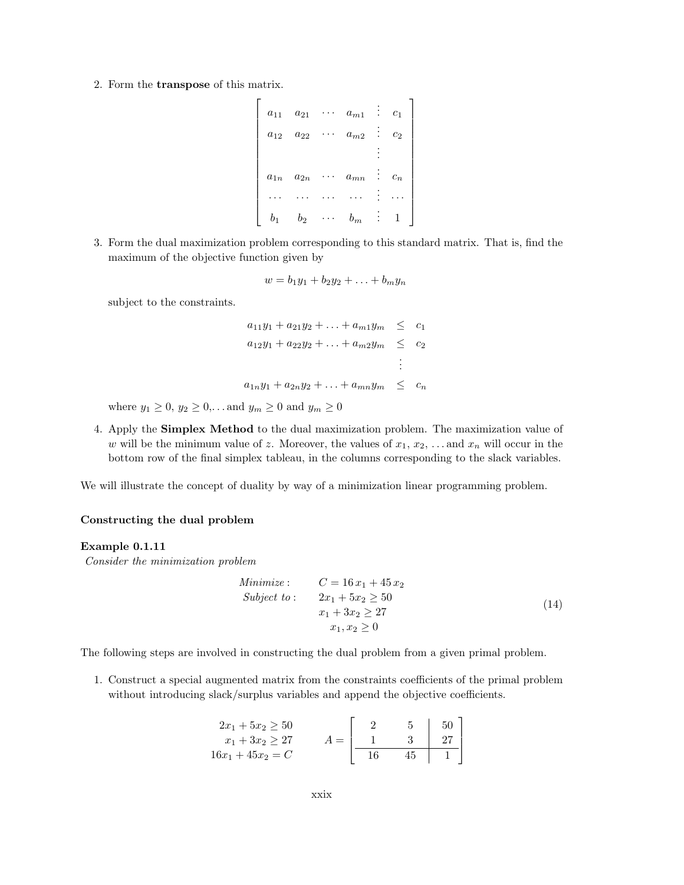2. Form the transpose of this matrix.

```
\lceil

     a_{11} \quad a_{21} \quad \cdots \quad a_{m1} \quad \vdots \quad c_1a_{12} \quad a_{22} \quad \cdots \quad a_{m2} \quad \vdots \quad c_2.
.
.
    a_{1n} a_{2n} \cdots a_{mn} : c_n... ... ... ... .<sub>.</sub>...
      b_1 b_2 \cdots b_m : 1
                                                          1
```
3. Form the dual maximization problem corresponding to this standard matrix. That is, find the maximum of the objective function given by

$$
w = b_1y_1 + b_2y_2 + \ldots + b_my_n
$$

subject to the constraints.

$$
a_{11}y_1 + a_{21}y_2 + \dots + a_{m1}y_m \leq c_1
$$
  
\n
$$
a_{12}y_1 + a_{22}y_2 + \dots + a_{m2}y_m \leq c_2
$$
  
\n
$$
\vdots
$$
  
\n
$$
a_{1n}y_1 + a_{2n}y_2 + \dots + a_{mn}y_m \leq c_n
$$

where  $y_1 \ge 0, y_2 \ge 0,...$  and  $y_m \ge 0$  and  $y_m \ge 0$ 

4. Apply the Simplex Method to the dual maximization problem. The maximization value of w will be the minimum value of z. Moreover, the values of  $x_1, x_2, \ldots$  and  $x_n$  will occur in the bottom row of the final simplex tableau, in the columns corresponding to the slack variables.

We will illustrate the concept of duality by way of a minimization linear programming problem.

#### Constructing the dual problem

#### Example 0.1.11

Consider the minimization problem

Minimize: 
$$
C = 16 x_1 + 45 x_2
$$
  
\nSubject to:  $2x_1 + 5x_2 \ge 50$   
\n $x_1 + 3x_2 \ge 27$   
\n $x_1, x_2 \ge 0$  (14)

The following steps are involved in constructing the dual problem from a given primal problem.

1. Construct a special augmented matrix from the constraints coefficients of the primal problem without introducing slack/surplus variables and append the objective coefficients.

| $2x_1 + 5x_2 \ge 50$ |  | 50 |  |
|----------------------|--|----|--|
| $x_1 + 3x_2 \geq 27$ |  | 27 |  |
| $16x_1 + 45x_2 = C$  |  |    |  |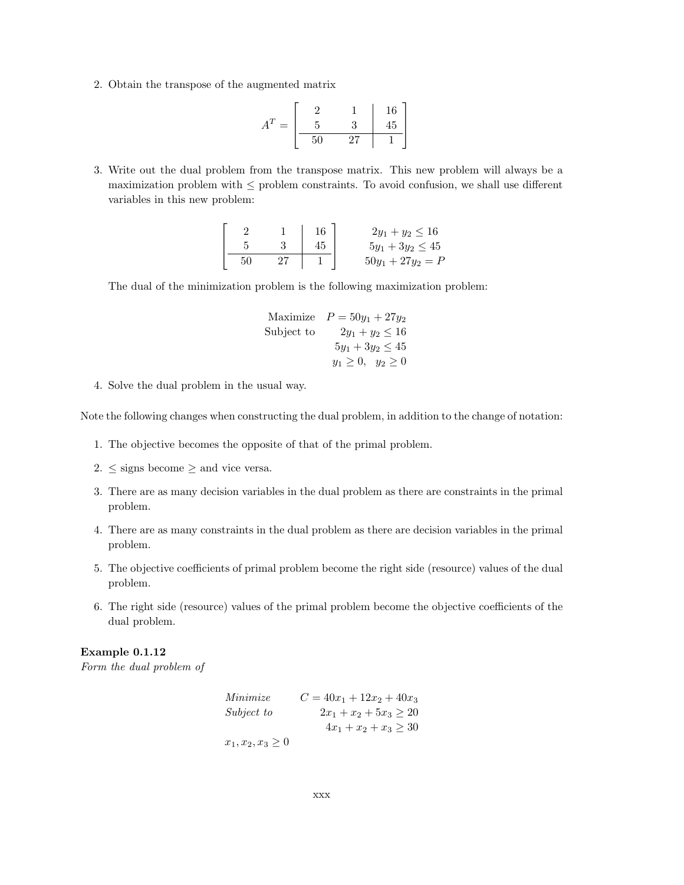2. Obtain the transpose of the augmented matrix

$$
AT = \begin{bmatrix} 2 & 1 & 16 \\ 5 & 3 & 45 \\ \hline 50 & 27 & 1 \end{bmatrix}
$$

3. Write out the dual problem from the transpose matrix. This new problem will always be a maximization problem with  $\leq$  problem constraints. To avoid confusion, we shall use different variables in this new problem:

|  | 16 | $2y_1 + y_2 \le 16$   |
|--|----|-----------------------|
|  |    | $5y_1 + 3y_2 \leq 45$ |
|  |    | $50y_1 + 27y_2 = P$   |

The dual of the minimization problem is the following maximization problem:

Maximize 
$$
P = 50y_1 + 27y_2
$$
  
Subject to  $2y_1 + y_2 \le 16$   
 $5y_1 + 3y_2 \le 45$   
 $y_1 \ge 0, y_2 \ge 0$ 

4. Solve the dual problem in the usual way.

Note the following changes when constructing the dual problem, in addition to the change of notation:

- 1. The objective becomes the opposite of that of the primal problem.
- 2.  $\leq$  signs become  $\geq$  and vice versa.
- 3. There are as many decision variables in the dual problem as there are constraints in the primal problem.
- 4. There are as many constraints in the dual problem as there are decision variables in the primal problem.
- 5. The objective coefficients of primal problem become the right side (resource) values of the dual problem.
- 6. The right side (resource) values of the primal problem become the objective coefficients of the dual problem.

# Example 0.1.12

Form the dual problem of

| Minimize               | $C = 40x_1 + 12x_2 + 40x_3$ |
|------------------------|-----------------------------|
| Subject to             | $2x_1 + x_2 + 5x_3 \geq 20$ |
|                        | $4x_1 + x_2 + x_3 \geq 30$  |
| $x_1, x_2, x_3 \geq 0$ |                             |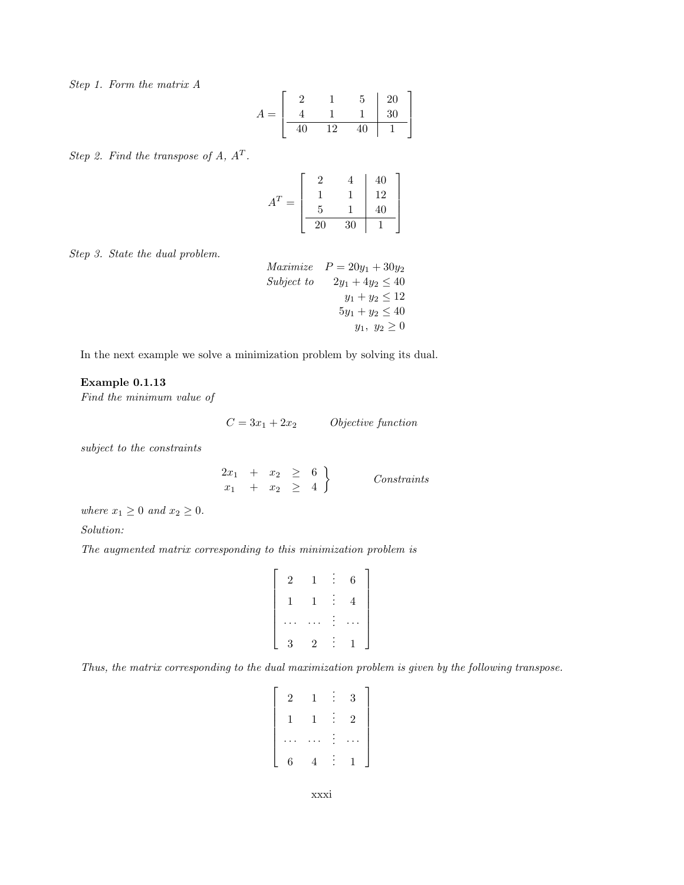Step 1. Form the matrix A

$$
A = \begin{bmatrix} 2 & 1 & 5 & 20 \\ 4 & 1 & 1 & 30 \\ \hline 40 & 12 & 40 & 1 \end{bmatrix}
$$

Step 2. Find the transpose of  $A, A<sup>T</sup>$ .

|   |    |    | 40              |
|---|----|----|-----------------|
|   |    |    | 12              |
| = | 5  |    | $\overline{40}$ |
|   | 20 | 30 |                 |

Step 3. State the dual problem.

Maximize

\n
$$
P = 20y_1 + 30y_2
$$
\nSubject to

\n
$$
2y_1 + 4y_2 \le 40
$$
\n
$$
y_1 + y_2 \le 12
$$
\n
$$
5y_1 + y_2 \le 40
$$
\n
$$
y_1, y_2 \ge 0
$$

In the next example we solve a minimization problem by solving its dual.

## Example 0.1.13

Find the minimum value of

 $C = 3x_1 + 2x_2$  Objective function

subject to the constraints

 $2x_1 + x_2 \geq 6$  $x_1 + x_2 \geq 4$  $\mathcal{L}$ Constraints

where  $x_1 \geq 0$  and  $x_2 \geq 0$ .

Solution:

The augmented matrix corresponding to this minimization problem is

$$
\left[\begin{array}{ccccc}\n2 & 1 & \vdots & 6 \\
1 & 1 & \vdots & 4 \\
\cdots & \cdots & \vdots & \cdots \\
3 & 2 & \vdots & 1\n\end{array}\right]
$$

Thus, the matrix corresponding to the dual maximization problem is given by the following transpose.

| $\overline{2}$ | 1 | 3              |
|----------------|---|----------------|
| 1              | 1 | $\overline{2}$ |
|                |   |                |
| 6              |   |                |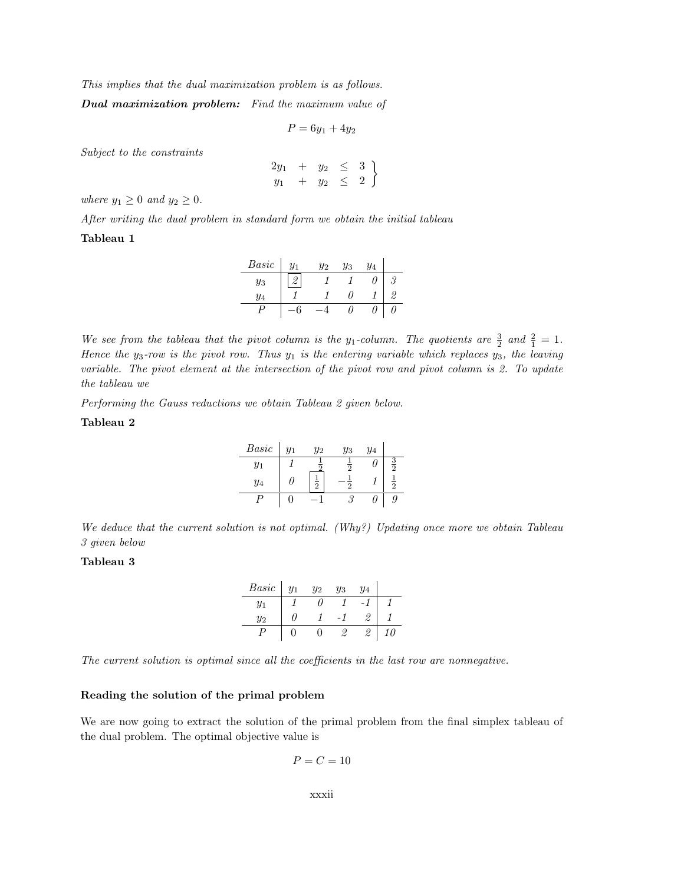This implies that the dual maximization problem is as follows.

Dual maximization problem: Find the maximum value of

$$
P = 6y_1 + 4y_2
$$

Subject to the constraints

$$
\begin{array}{cccc}\n2y_1 & + & y_2 & \le & 3 \\
y_1 & + & y_2 & \le & 2\n\end{array}
$$

where  $y_1 \geq 0$  and  $y_2 \geq 0$ .

After writing the dual problem in standard form we obtain the initial tableau

## Tableau 1

| Basic | $y_1$ | $y_2$ | $y_3$ | $y_4$ |    |
|-------|-------|-------|-------|-------|----|
| Yз    |       |       |       | ,,    |    |
| Y4    |       |       |       |       | 0. |
|       |       |       |       |       |    |

We see from the tableau that the pivot column is the y<sub>1</sub>-column. The quotients are  $\frac{3}{2}$  and  $\frac{2}{1} = 1$ . Hence the  $y_3$ -row is the pivot row. Thus  $y_1$  is the entering variable which replaces  $y_3$ , the leaving variable. The pivot element at the intersection of the pivot row and pivot column is 2. To update the tableau we

Performing the Gauss reductions we obtain Tableau 2 given below.

# Tableau 2

| Basic | $y_1$ | $y_2$           | $y_3$ | $y_4$ |   |
|-------|-------|-----------------|-------|-------|---|
| $y_1$ |       |                 |       |       |   |
| $y_4$ |       | $\bar{\bar{2}}$ |       |       | 5 |
|       |       |                 |       |       | 9 |

We deduce that the current solution is not optimal. (Why?) Updating once more we obtain Tableau 3 given below

## Tableau 3

| Basic | $y_2$ | У3 | $y_4$ |  |
|-------|-------|----|-------|--|
| $y_1$ |       |    |       |  |
| $y_2$ |       |    |       |  |
|       |       |    |       |  |

The current solution is optimal since all the coefficients in the last row are nonnegative.

### Reading the solution of the primal problem

We are now going to extract the solution of the primal problem from the final simplex tableau of the dual problem. The optimal objective value is

$$
P=C=10
$$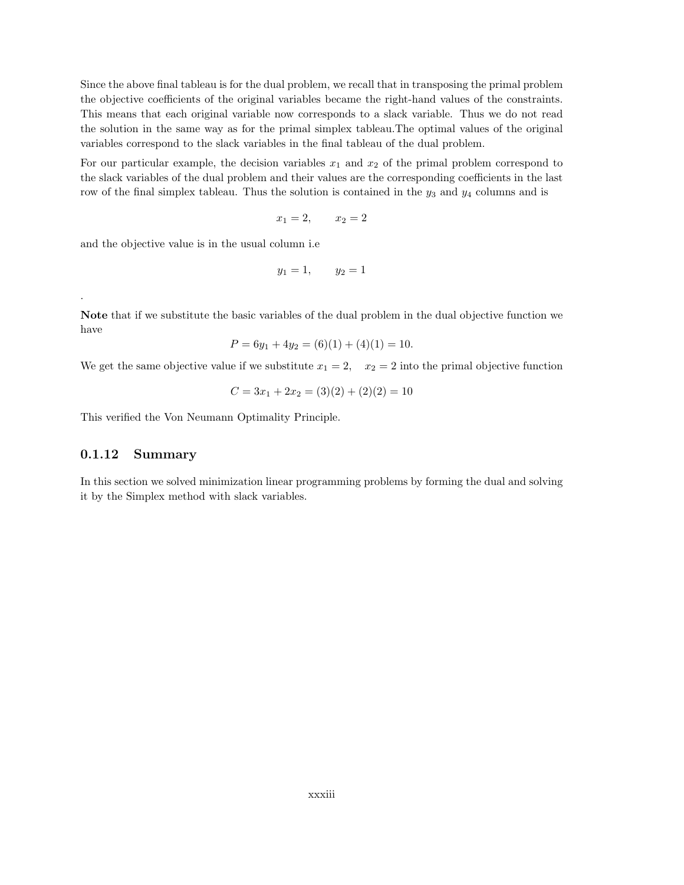Since the above final tableau is for the dual problem, we recall that in transposing the primal problem the objective coefficients of the original variables became the right-hand values of the constraints. This means that each original variable now corresponds to a slack variable. Thus we do not read the solution in the same way as for the primal simplex tableau.The optimal values of the original variables correspond to the slack variables in the final tableau of the dual problem.

For our particular example, the decision variables  $x_1$  and  $x_2$  of the primal problem correspond to the slack variables of the dual problem and their values are the corresponding coefficients in the last row of the final simplex tableau. Thus the solution is contained in the  $y_3$  and  $y_4$  columns and is

$$
x_1 = 2, \qquad x_2 = 2
$$

and the objective value is in the usual column i.e

$$
y_1 = 1, \qquad y_2 = 1
$$

.

Note that if we substitute the basic variables of the dual problem in the dual objective function we have

$$
P = 6y_1 + 4y_2 = (6)(1) + (4)(1) = 10.
$$

We get the same objective value if we substitute  $x_1 = 2$ ,  $x_2 = 2$  into the primal objective function

$$
C = 3x_1 + 2x_2 = (3)(2) + (2)(2) = 10
$$

This verified the Von Neumann Optimality Principle.

# 0.1.12 Summary

In this section we solved minimization linear programming problems by forming the dual and solving it by the Simplex method with slack variables.